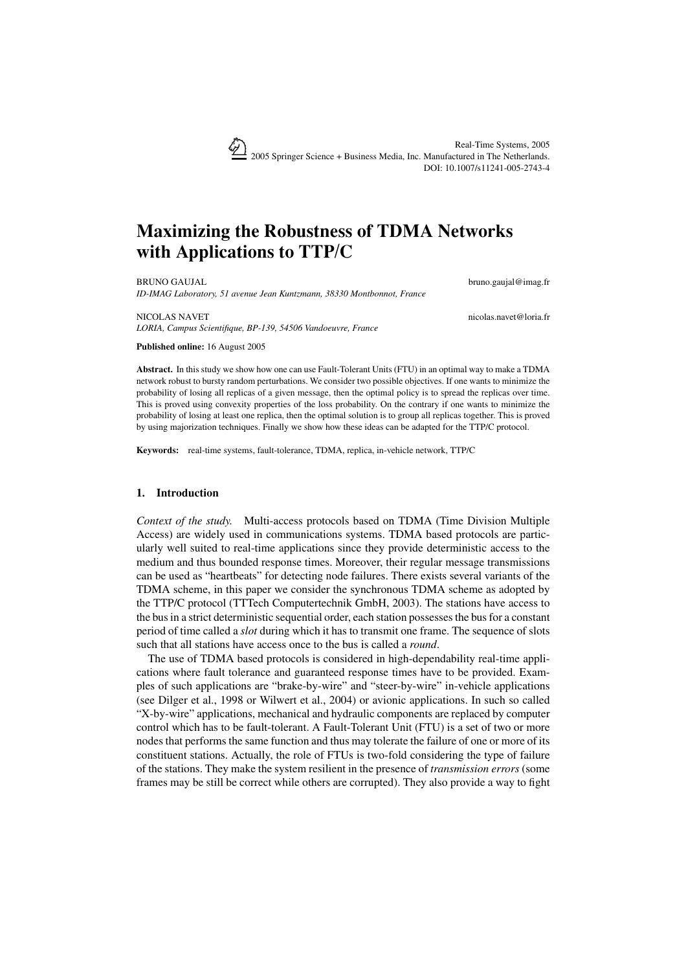# **Maximizing the Robustness of TDMA Networks with Applications to TTP/C**

BRUNO GAUJAL bruno.gaujal@imag.fr *ID-IMAG Laboratory, 51 avenue Jean Kuntzmann, 38330 Montbonnot, France*

NICOLAS NAVET nicolas.navet@loria.fr

*LORIA, Campus Scientifique, BP-139, 54506 Vandoeuvre, France*

**Published online:** 16 August 2005

**Abstract.** In this study we show how one can use Fault-Tolerant Units (FTU) in an optimal way to make a TDMA network robust to bursty random perturbations. We consider two possible objectives. If one wants to minimize the probability of losing all replicas of a given message, then the optimal policy is to spread the replicas over time. This is proved using convexity properties of the loss probability. On the contrary if one wants to minimize the probability of losing at least one replica, then the optimal solution is to group all replicas together. This is proved by using majorization techniques. Finally we show how these ideas can be adapted for the TTP/C protocol.

**Keywords:** real-time systems, fault-tolerance, TDMA, replica, in-vehicle network, TTP/C

#### **1. Introduction**

*Context of the study.* Multi-access protocols based on TDMA (Time Division Multiple Access) are widely used in communications systems. TDMA based protocols are particularly well suited to real-time applications since they provide deterministic access to the medium and thus bounded response times. Moreover, their regular message transmissions can be used as "heartbeats" for detecting node failures. There exists several variants of the TDMA scheme, in this paper we consider the synchronous TDMA scheme as adopted by the TTP/C protocol (TTTech Computertechnik GmbH, 2003). The stations have access to the bus in a strict deterministic sequential order, each station possesses the bus for a constant period of time called a *slot* during which it has to transmit one frame. The sequence of slots such that all stations have access once to the bus is called a *round*.

The use of TDMA based protocols is considered in high-dependability real-time applications where fault tolerance and guaranteed response times have to be provided. Examples of such applications are "brake-by-wire" and "steer-by-wire" in-vehicle applications (see Dilger et al., 1998 or Wilwert et al., 2004) or avionic applications. In such so called "X-by-wire" applications, mechanical and hydraulic components are replaced by computer control which has to be fault-tolerant. A Fault-Tolerant Unit (FTU) is a set of two or more nodes that performs the same function and thus may tolerate the failure of one or more of its constituent stations. Actually, the role of FTUs is two-fold considering the type of failure of the stations. They make the system resilient in the presence of *transmission errors* (some frames may be still be correct while others are corrupted). They also provide a way to fight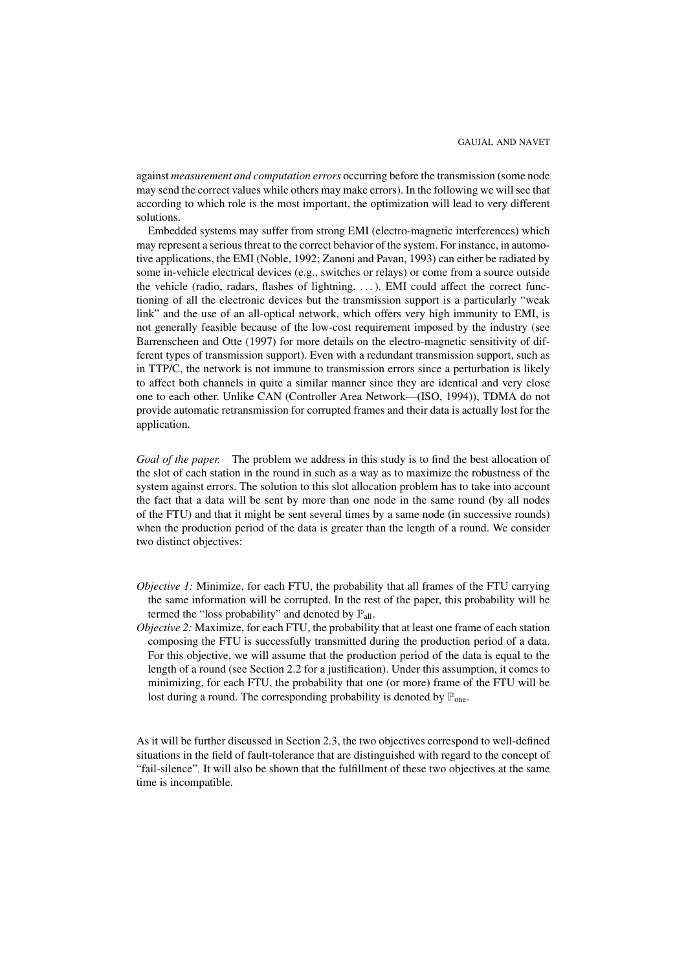against *measurement and computation errors* occurring before the transmission (some node may send the correct values while others may make errors). In the following we will see that according to which role is the most important, the optimization will lead to very different solutions.

Embedded systems may suffer from strong EMI (electro-magnetic interferences) which may represent a serious threat to the correct behavior of the system. For instance, in automotive applications, the EMI (Noble, 1992; Zanoni and Pavan, 1993) can either be radiated by some in-vehicle electrical devices (e.g., switches or relays) or come from a source outside the vehicle (radio, radars, flashes of lightning, . . . ). EMI could affect the correct functioning of all the electronic devices but the transmission support is a particularly "weak link" and the use of an all-optical network, which offers very high immunity to EMI, is not generally feasible because of the low-cost requirement imposed by the industry (see Barrenscheen and Otte (1997) for more details on the electro-magnetic sensitivity of different types of transmission support). Even with a redundant transmission support, such as in TTP/C, the network is not immune to transmission errors since a perturbation is likely to affect both channels in quite a similar manner since they are identical and very close one to each other. Unlike CAN (Controller Area Network—(ISO, 1994)), TDMA do not provide automatic retransmission for corrupted frames and their data is actually lost for the application.

*Goal of the paper.* The problem we address in this study is to find the best allocation of the slot of each station in the round in such as a way as to maximize the robustness of the system against errors. The solution to this slot allocation problem has to take into account the fact that a data will be sent by more than one node in the same round (by all nodes of the FTU) and that it might be sent several times by a same node (in successive rounds) when the production period of the data is greater than the length of a round. We consider two distinct objectives:

- *Objective 1:* Minimize, for each FTU, the probability that all frames of the FTU carrying the same information will be corrupted. In the rest of the paper, this probability will be termed the "loss probability" and denoted by  $\mathbb{P}_{all}$ .
- *Objective 2:* Maximize, for each FTU, the probability that at least one frame of each station composing the FTU is successfully transmitted during the production period of a data. For this objective, we will assume that the production period of the data is equal to the length of a round (see Section 2.2 for a justification). Under this assumption, it comes to minimizing, for each FTU, the probability that one (or more) frame of the FTU will be lost during a round. The corresponding probability is denoted by  $\mathbb{P}_{one}$ .

As it will be further discussed in Section 2.3, the two objectives correspond to well-defined situations in the field of fault-tolerance that are distinguished with regard to the concept of "fail-silence". It will also be shown that the fulfillment of these two objectives at the same time is incompatible.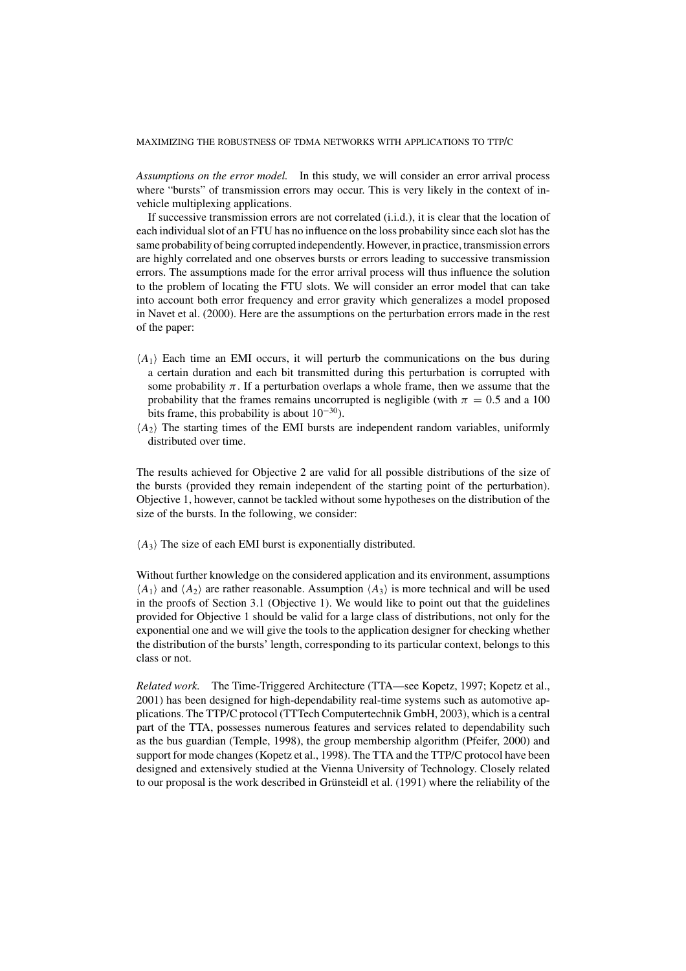*Assumptions on the error model.* In this study, we will consider an error arrival process where "bursts" of transmission errors may occur. This is very likely in the context of invehicle multiplexing applications.

If successive transmission errors are not correlated (i.i.d.), it is clear that the location of each individual slot of an FTU has no influence on the loss probability since each slot has the same probability of being corrupted independently. However, in practice, transmission errors are highly correlated and one observes bursts or errors leading to successive transmission errors. The assumptions made for the error arrival process will thus influence the solution to the problem of locating the FTU slots. We will consider an error model that can take into account both error frequency and error gravity which generalizes a model proposed in Navet et al. (2000). Here are the assumptions on the perturbation errors made in the rest of the paper:

- $\langle A_1 \rangle$  Each time an EMI occurs, it will perturb the communications on the bus during a certain duration and each bit transmitted during this perturbation is corrupted with some probability  $\pi$ . If a perturbation overlaps a whole frame, then we assume that the probability that the frames remains uncorrupted is negligible (with  $\pi = 0.5$  and a 100 bits frame, this probability is about  $10^{-30}$ ).
- $\langle A_2 \rangle$  The starting times of the EMI bursts are independent random variables, uniformly distributed over time.

The results achieved for Objective 2 are valid for all possible distributions of the size of the bursts (provided they remain independent of the starting point of the perturbation). Objective 1, however, cannot be tackled without some hypotheses on the distribution of the size of the bursts. In the following, we consider:

 $\langle A_3 \rangle$  The size of each EMI burst is exponentially distributed.

Without further knowledge on the considered application and its environment, assumptions  $\langle A_1 \rangle$  and  $\langle A_2 \rangle$  are rather reasonable. Assumption  $\langle A_3 \rangle$  is more technical and will be used in the proofs of Section 3.1 (Objective 1). We would like to point out that the guidelines provided for Objective 1 should be valid for a large class of distributions, not only for the exponential one and we will give the tools to the application designer for checking whether the distribution of the bursts' length, corresponding to its particular context, belongs to this class or not.

*Related work.* The Time-Triggered Architecture (TTA—see Kopetz, 1997; Kopetz et al., 2001) has been designed for high-dependability real-time systems such as automotive applications. The TTP/C protocol (TTTech Computertechnik GmbH, 2003), which is a central part of the TTA, possesses numerous features and services related to dependability such as the bus guardian (Temple, 1998), the group membership algorithm (Pfeifer, 2000) and support for mode changes (Kopetz et al., 1998). The TTA and the TTP/C protocol have been designed and extensively studied at the Vienna University of Technology. Closely related to our proposal is the work described in Grünsteidl et al. (1991) where the reliability of the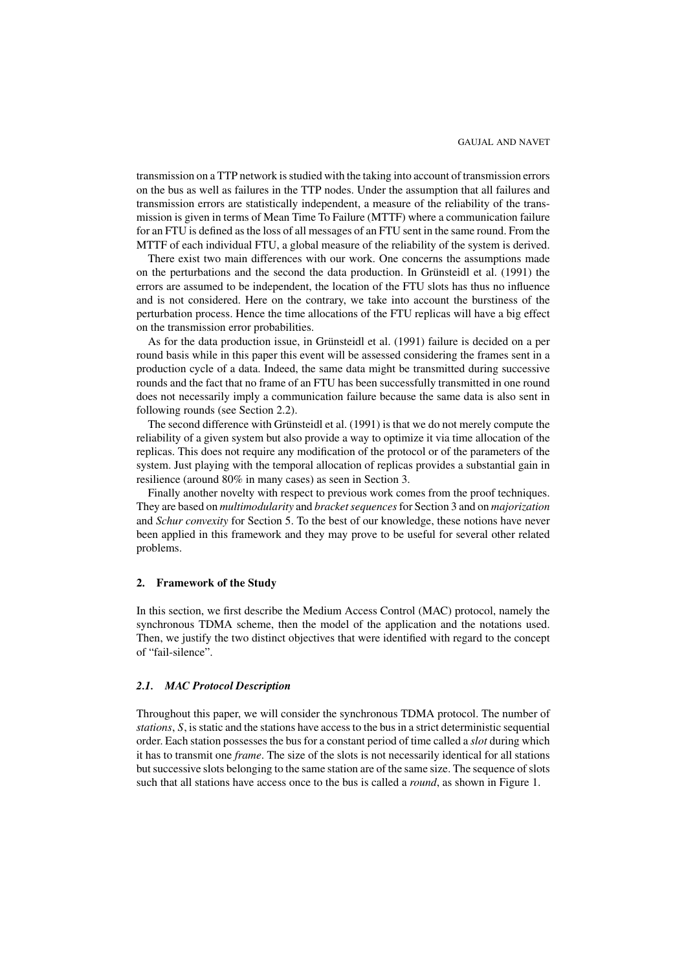transmission on a TTP network is studied with the taking into account of transmission errors on the bus as well as failures in the TTP nodes. Under the assumption that all failures and transmission errors are statistically independent, a measure of the reliability of the transmission is given in terms of Mean Time To Failure (MTTF) where a communication failure for an FTU is defined as the loss of all messages of an FTU sent in the same round. From the MTTF of each individual FTU, a global measure of the reliability of the system is derived.

There exist two main differences with our work. One concerns the assumptions made on the perturbations and the second the data production. In Grünsteidl et al. (1991) the errors are assumed to be independent, the location of the FTU slots has thus no influence and is not considered. Here on the contrary, we take into account the burstiness of the perturbation process. Hence the time allocations of the FTU replicas will have a big effect on the transmission error probabilities.

As for the data production issue, in Grünsteidl et al. (1991) failure is decided on a per round basis while in this paper this event will be assessed considering the frames sent in a production cycle of a data. Indeed, the same data might be transmitted during successive rounds and the fact that no frame of an FTU has been successfully transmitted in one round does not necessarily imply a communication failure because the same data is also sent in following rounds (see Section 2.2).

The second difference with Grünsteidl et al. (1991) is that we do not merely compute the reliability of a given system but also provide a way to optimize it via time allocation of the replicas. This does not require any modification of the protocol or of the parameters of the system. Just playing with the temporal allocation of replicas provides a substantial gain in resilience (around 80% in many cases) as seen in Section 3.

Finally another novelty with respect to previous work comes from the proof techniques. They are based on *multimodularity* and *bracket sequences*for Section 3 and on *majorization* and *Schur convexity* for Section 5. To the best of our knowledge, these notions have never been applied in this framework and they may prove to be useful for several other related problems.

#### **2. Framework of the Study**

In this section, we first describe the Medium Access Control (MAC) protocol, namely the synchronous TDMA scheme, then the model of the application and the notations used. Then, we justify the two distinct objectives that were identified with regard to the concept of "fail-silence".

## *2.1. MAC Protocol Description*

Throughout this paper, we will consider the synchronous TDMA protocol. The number of *stations*, *S*, isstatic and the stations have access to the bus in a strict deterministic sequential order. Each station possesses the bus for a constant period of time called a *slot* during which it has to transmit one *frame*. The size of the slots is not necessarily identical for all stations butsuccessive slots belonging to the same station are of the same size. The sequence of slots such that all stations have access once to the bus is called a *round*, as shown in Figure 1.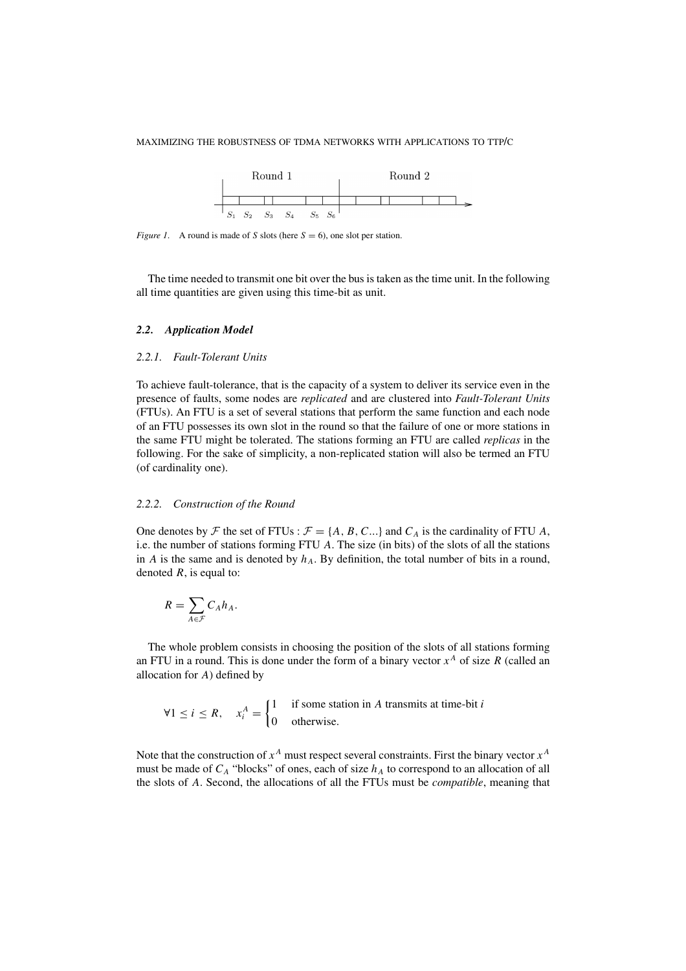

*Figure 1.* A round is made of *S* slots (here  $S = 6$ ), one slot per station.

The time needed to transmit one bit over the bus is taken as the time unit. In the following all time quantities are given using this time-bit as unit.

## *2.2. Application Model*

#### *2.2.1. Fault-Tolerant Units*

To achieve fault-tolerance, that is the capacity of a system to deliver its service even in the presence of faults, some nodes are *replicated* and are clustered into *Fault-Tolerant Units* (FTUs). An FTU is a set of several stations that perform the same function and each node of an FTU possesses its own slot in the round so that the failure of one or more stations in the same FTU might be tolerated. The stations forming an FTU are called *replicas* in the following. For the sake of simplicity, a non-replicated station will also be termed an FTU (of cardinality one).

#### *2.2.2. Construction of the Round*

One denotes by  $\mathcal F$  the set of FTUs :  $\mathcal F = \{A, B, C...\}$  and  $C_A$  is the cardinality of FTU A, i.e. the number of stations forming FTU *A*. The size (in bits) of the slots of all the stations in *A* is the same and is denoted by  $h_A$ . By definition, the total number of bits in a round, denoted  $R$ , is equal to:

$$
R=\sum_{A\in\mathcal{F}}C_Ah_A.
$$

The whole problem consists in choosing the position of the slots of all stations forming an FTU in a round. This is done under the form of a binary vector  $x^A$  of size R (called an allocation for *A*) defined by

$$
\forall 1 \le i \le R, \quad x_i^A = \begin{cases} 1 & \text{if some station in } A \text{ transmits at time-bit } i \\ 0 & \text{otherwise.} \end{cases}
$$

Note that the construction of  $x^A$  must respect several constraints. First the binary vector  $x^A$ must be made of  $C_A$  "blocks" of ones, each of size  $h_A$  to correspond to an allocation of all the slots of *A*. Second, the allocations of all the FTUs must be *compatible*, meaning that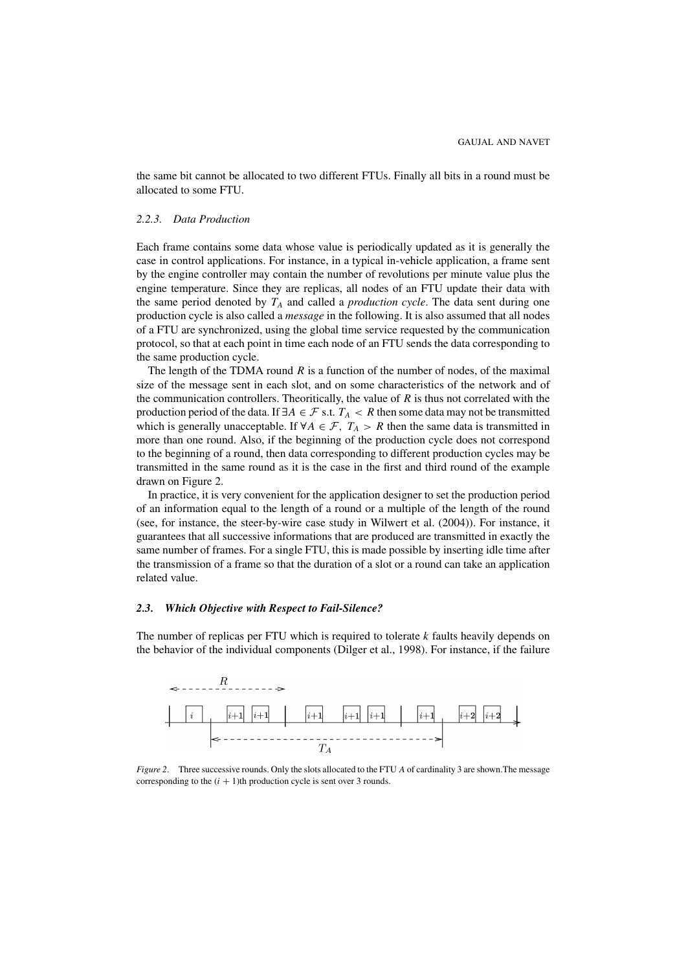the same bit cannot be allocated to two different FTUs. Finally all bits in a round must be allocated to some FTU.

#### *2.2.3. Data Production*

Each frame contains some data whose value is periodically updated as it is generally the case in control applications. For instance, in a typical in-vehicle application, a frame sent by the engine controller may contain the number of revolutions per minute value plus the engine temperature. Since they are replicas, all nodes of an FTU update their data with the same period denoted by *TA* and called a *production cycle*. The data sent during one production cycle is also called a *message* in the following. It is also assumed that all nodes of a FTU are synchronized, using the global time service requested by the communication protocol, so that at each point in time each node of an FTU sends the data corresponding to the same production cycle.

The length of the TDMA round *R* is a function of the number of nodes, of the maximal size of the message sent in each slot, and on some characteristics of the network and of the communication controllers. Theoritically, the value of  $R$  is thus not correlated with the production period of the data. If  $\exists A \in \mathcal{F}$  s.t.  $T_A < R$  then some data may not be transmitted which is generally unacceptable. If  $\forall A \in \mathcal{F}$ ,  $T_A > R$  then the same data is transmitted in more than one round. Also, if the beginning of the production cycle does not correspond to the beginning of a round, then data corresponding to different production cycles may be transmitted in the same round as it is the case in the first and third round of the example drawn on Figure 2.

In practice, it is very convenient for the application designer to set the production period of an information equal to the length of a round or a multiple of the length of the round (see, for instance, the steer-by-wire case study in Wilwert et al. (2004)). For instance, it guarantees that all successive informations that are produced are transmitted in exactly the same number of frames. For a single FTU, this is made possible by inserting idle time after the transmission of a frame so that the duration of a slot or a round can take an application related value.

#### *2.3. Which Objective with Respect to Fail-Silence?*

The number of replicas per FTU which is required to tolerate *k* faults heavily depends on the behavior of the individual components (Dilger et al., 1998). For instance, if the failure



*Figure 2*. Three successive rounds. Only the slots allocated to the FTU *A* of cardinality 3 are shown.The message corresponding to the  $(i + 1)$ th production cycle is sent over 3 rounds.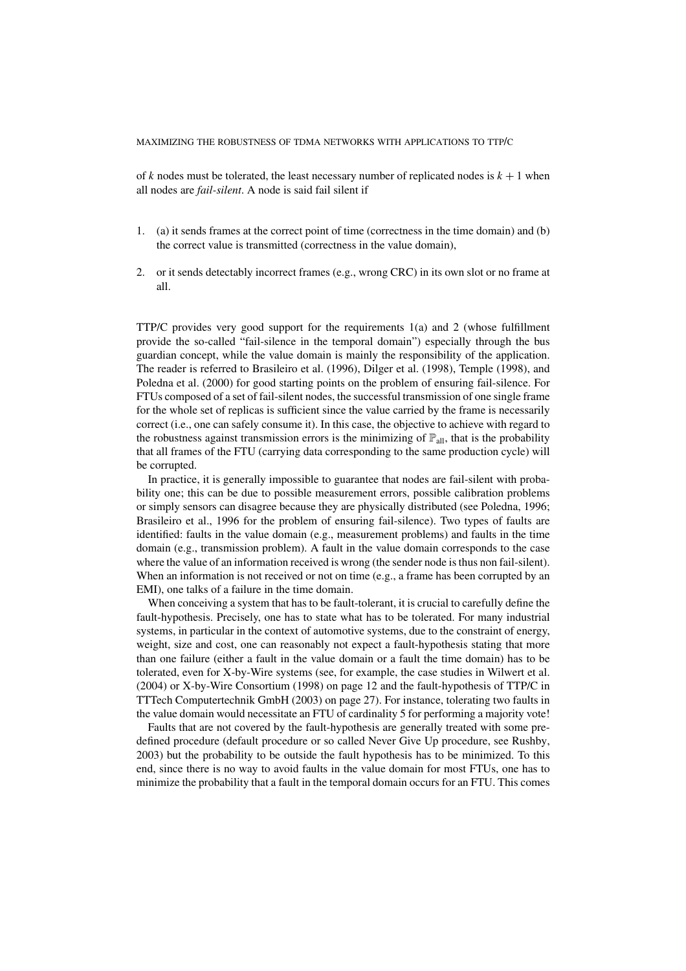of *k* nodes must be tolerated, the least necessary number of replicated nodes is  $k + 1$  when all nodes are *fail-silent*. A node is said fail silent if

- 1. (a) it sends frames at the correct point of time (correctness in the time domain) and (b) the correct value is transmitted (correctness in the value domain),
- 2. or it sends detectably incorrect frames (e.g., wrong CRC) in its own slot or no frame at all.

TTP/C provides very good support for the requirements 1(a) and 2 (whose fulfillment provide the so-called "fail-silence in the temporal domain") especially through the bus guardian concept, while the value domain is mainly the responsibility of the application. The reader is referred to Brasileiro et al. (1996), Dilger et al. (1998), Temple (1998), and Poledna et al. (2000) for good starting points on the problem of ensuring fail-silence. For FTUs composed of a set of fail-silent nodes, the successful transmission of one single frame for the whole set of replicas is sufficient since the value carried by the frame is necessarily correct (i.e., one can safely consume it). In this case, the objective to achieve with regard to the robustness against transmission errors is the minimizing of  $\mathbb{P}_{all}$ , that is the probability that all frames of the FTU (carrying data corresponding to the same production cycle) will be corrupted.

In practice, it is generally impossible to guarantee that nodes are fail-silent with probability one; this can be due to possible measurement errors, possible calibration problems or simply sensors can disagree because they are physically distributed (see Poledna, 1996; Brasileiro et al., 1996 for the problem of ensuring fail-silence). Two types of faults are identified: faults in the value domain (e.g., measurement problems) and faults in the time domain (e.g., transmission problem). A fault in the value domain corresponds to the case where the value of an information received is wrong (the sender node is thus non fail-silent). When an information is not received or not on time (e.g., a frame has been corrupted by an EMI), one talks of a failure in the time domain.

When conceiving a system that has to be fault-tolerant, it is crucial to carefully define the fault-hypothesis. Precisely, one has to state what has to be tolerated. For many industrial systems, in particular in the context of automotive systems, due to the constraint of energy, weight, size and cost, one can reasonably not expect a fault-hypothesis stating that more than one failure (either a fault in the value domain or a fault the time domain) has to be tolerated, even for X-by-Wire systems (see, for example, the case studies in Wilwert et al. (2004) or X-by-Wire Consortium (1998) on page 12 and the fault-hypothesis of TTP/C in TTTech Computertechnik GmbH (2003) on page 27). For instance, tolerating two faults in the value domain would necessitate an FTU of cardinality 5 for performing a majority vote!

Faults that are not covered by the fault-hypothesis are generally treated with some predefined procedure (default procedure or so called Never Give Up procedure, see Rushby, 2003) but the probability to be outside the fault hypothesis has to be minimized. To this end, since there is no way to avoid faults in the value domain for most FTUs, one has to minimize the probability that a fault in the temporal domain occurs for an FTU. This comes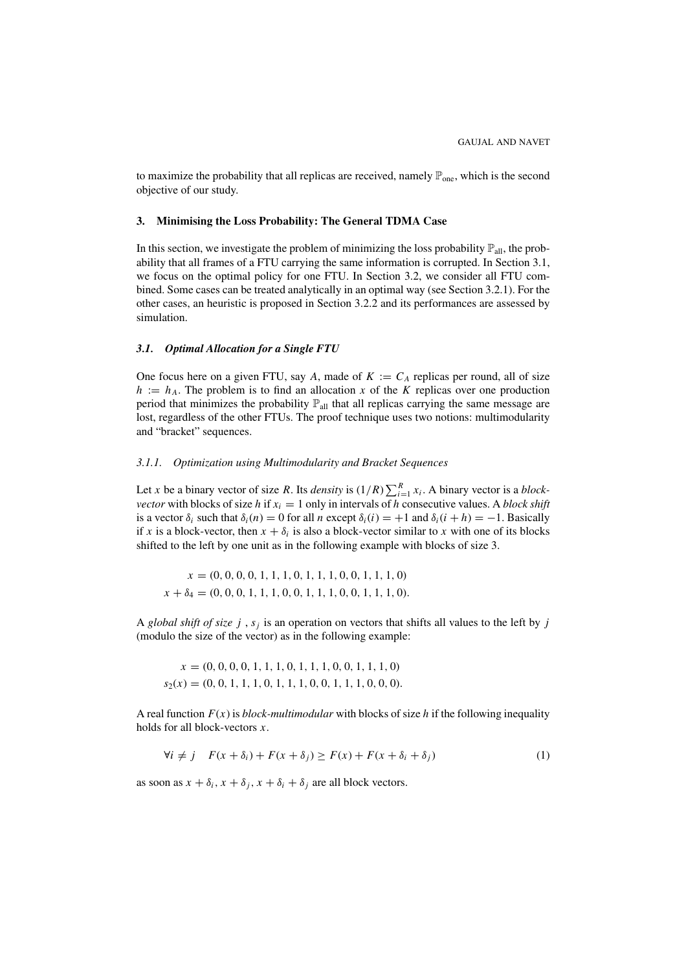to maximize the probability that all replicas are received, namely  $\mathbb{P}_{one}$ , which is the second objective of our study.

# **3. Minimising the Loss Probability: The General TDMA Case**

In this section, we investigate the problem of minimizing the loss probability  $\mathbb{P}_{all}$ , the probability that all frames of a FTU carrying the same information is corrupted. In Section 3.1, we focus on the optimal policy for one FTU. In Section 3.2, we consider all FTU combined. Some cases can be treated analytically in an optimal way (see Section 3.2.1). For the other cases, an heuristic is proposed in Section 3.2.2 and its performances are assessed by simulation.

## *3.1. Optimal Allocation for a Single FTU*

One focus here on a given FTU, say A, made of  $K := C_A$  replicas per round, all of size  $h := h_A$ . The problem is to find an allocation *x* of the *K* replicas over one production period that minimizes the probability  $\mathbb{P}_{all}$  that all replicas carrying the same message are lost, regardless of the other FTUs. The proof technique uses two notions: multimodularity and "bracket" sequences.

## *3.1.1. Optimization using Multimodularity and Bracket Sequences*

Let *x* be a binary vector of size *R*. Its *density* is  $(1/R)\sum_{i=1}^{R} x_i$ . A binary vector is a *blockvector* with blocks of size *h* if  $x<sub>i</sub> = 1$  only in intervals of *h* consecutive values. A *block shift* is a vector  $\delta_i$  such that  $\delta_i(n) = 0$  for all *n* except  $\delta_i(i) = +1$  and  $\delta_i(i + h) = -1$ . Basically if *x* is a block-vector, then  $x + \delta_i$  is also a block-vector similar to *x* with one of its blocks shifted to the left by one unit as in the following example with blocks of size 3.

*x* = (0, 0, 0, 0, 1, 1, 1, 0, 1, 1, 1, 0, 0, 1, 1, 1, 0)  $x + \delta_4 = (0, 0, 0, 1, 1, 1, 0, 0, 1, 1, 1, 0, 0, 1, 1, 1, 0).$ 

A *global shift of size*  $j$ ,  $s_j$  is an operation on vectors that shifts all values to the left by  $j$ (modulo the size of the vector) as in the following example:

$$
x = (0, 0, 0, 0, 1, 1, 1, 0, 1, 1, 1, 0, 0, 1, 1, 1, 0)
$$

$$
s_2(x) = (0, 0, 1, 1, 1, 0, 1, 1, 1, 0, 0, 1, 1, 1, 0, 0, 0).
$$

A real function  $F(x)$  is *block-multimodular* with blocks of size *h* if the following inequality holds for all block-vectors *x*.

$$
\forall i \neq j \quad F(x + \delta_i) + F(x + \delta_j) \ge F(x) + F(x + \delta_i + \delta_j)
$$
\n<sup>(1)</sup>

as soon as  $x + \delta_i$ ,  $x + \delta_j$ ,  $x + \delta_j + \delta_j$  are all block vectors.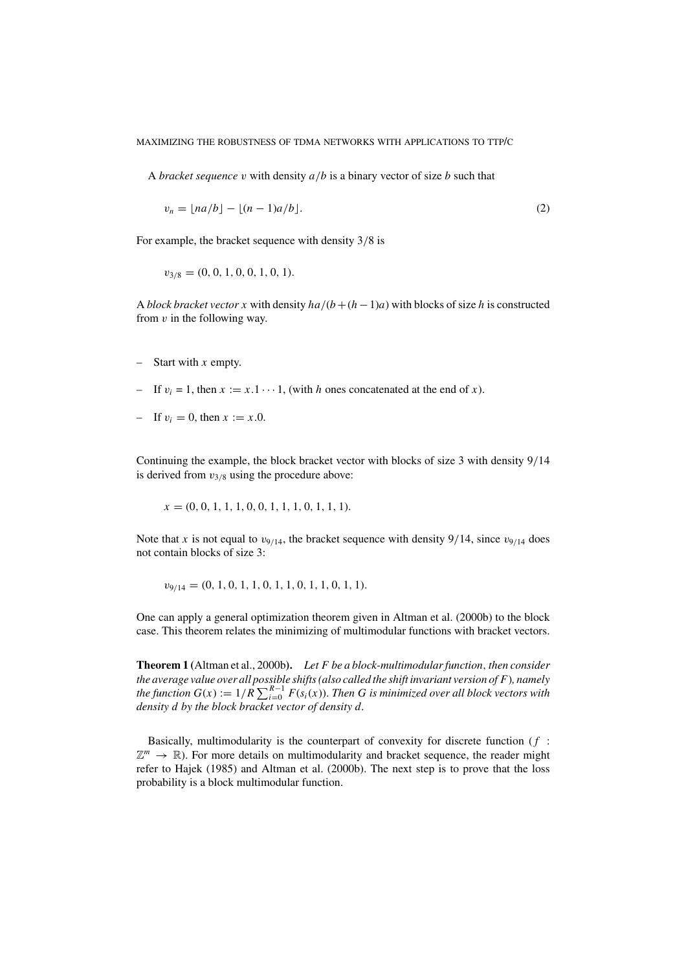A *bracket sequence* v with density *a*/*b* is a binary vector of size *b* such that

$$
v_n = \lfloor na/b \rfloor - \lfloor (n-1)a/b \rfloor. \tag{2}
$$

For example, the bracket sequence with density 3/8 is

$$
v_{3/8} = (0, 0, 1, 0, 0, 1, 0, 1).
$$

A *block bracket vector x* with density *ha*/(*b*+(*h* −1)*a*) with blocks of size *h* is constructed from  $v$  in the following way.

- Start with *x* empty.
- If  $v_i = 1$ , then  $x := x \cdot 1 \cdots 1$ , (with *h* ones concatenated at the end of *x*).
- $-$  If  $v_i = 0$ , then  $x := x.0$ .

Continuing the example, the block bracket vector with blocks of size 3 with density 9/14 is derived from  $v_{3/8}$  using the procedure above:

$$
x = (0, 0, 1, 1, 1, 0, 0, 1, 1, 1, 0, 1, 1, 1).
$$

Note that *x* is not equal to  $v_{9/14}$ , the bracket sequence with density 9/14, since  $v_{9/14}$  does not contain blocks of size 3:

$$
v_{9/14} = (0, 1, 0, 1, 1, 0, 1, 1, 0, 1, 1, 0, 1, 1).
$$

One can apply a general optimization theorem given in Altman et al. (2000b) to the block case. This theorem relates the minimizing of multimodular functions with bracket vectors.

**Theorem 1 (**Altman et al., 2000b**).** *Let F be a block-multimodular function*, *then consider the average value over all possible shifts (also called the shift invariant version of F*)*, namely the function*  $G(x) := 1/R \sum_{i=0}^{R-1} F(s_i(x))$ . *Then* G is minimized over all block vectors with *density d by the block bracket vector of density d.*

Basically, multimodularity is the counterpart of convexity for discrete function  $(f :$  $\mathbb{Z}^m \to \mathbb{R}$ ). For more details on multimodularity and bracket sequence, the reader might refer to Hajek (1985) and Altman et al. (2000b). The next step is to prove that the loss probability is a block multimodular function.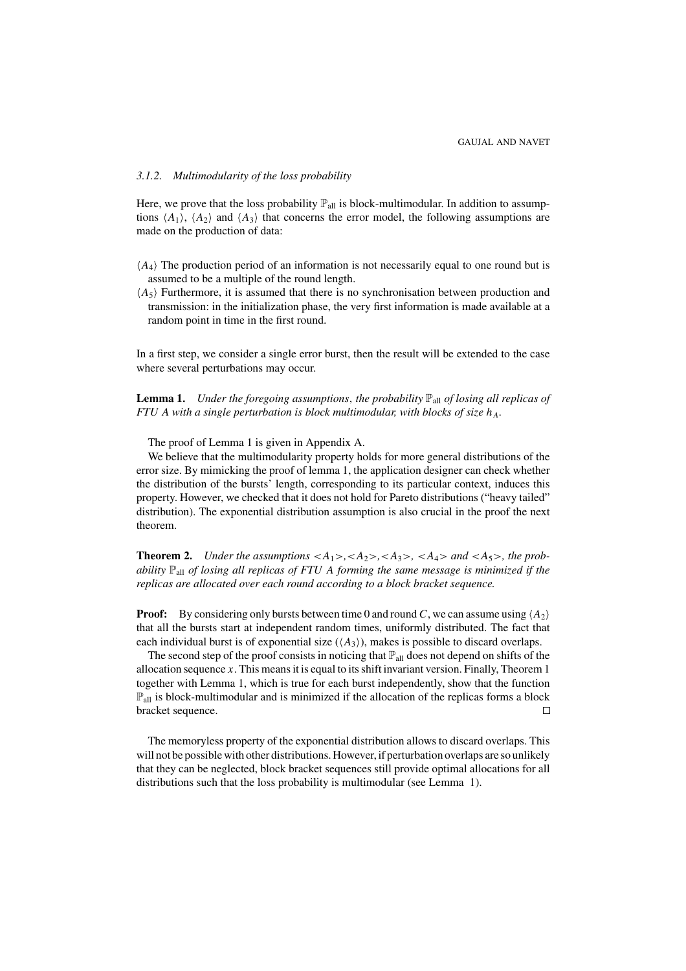#### *3.1.2. Multimodularity of the loss probability*

Here, we prove that the loss probability  $\mathbb{P}_{all}$  is block-multimodular. In addition to assumptions  $\langle A_1 \rangle$ ,  $\langle A_2 \rangle$  and  $\langle A_3 \rangle$  that concerns the error model, the following assumptions are made on the production of data:

- $\langle A_4 \rangle$  The production period of an information is not necessarily equal to one round but is assumed to be a multiple of the round length.
- $\langle A_5 \rangle$  Furthermore, it is assumed that there is no synchronisation between production and transmission: in the initialization phase, the very first information is made available at a random point in time in the first round.

In a first step, we consider a single error burst, then the result will be extended to the case where several perturbations may occur.

Lemma 1. *Under the foregoing assumptions, the probability*  $\mathbb{P}_{\text{all}}$  *of losing all replicas of FTU A with a single perturbation is block multimodular, with blocks of size h A.*

The proof of Lemma 1 is given in Appendix A.

We believe that the multimodularity property holds for more general distributions of the error size. By mimicking the proof of lemma 1, the application designer can check whether the distribution of the bursts' length, corresponding to its particular context, induces this property. However, we checked that it does not hold for Pareto distributions ("heavy tailed" distribution). The exponential distribution assumption is also crucial in the proof the next theorem.

**Theorem 2.** *Under the assumptions*  $\langle A_1 \rangle, \langle A_2 \rangle, \langle A_3 \rangle, \langle A_4 \rangle$  and  $\langle A_5 \rangle$ , the prob*ability*  $\mathbb{P}_{\text{all}}$  *of losing all replicas of FTU A forming the same message is minimized if the replicas are allocated over each round according to a block bracket sequence.*

**Proof:** By considering only bursts between time 0 and round C, we can assume using  $\langle A_2 \rangle$ that all the bursts start at independent random times, uniformly distributed. The fact that each individual burst is of exponential size  $(\langle A_3 \rangle)$ , makes is possible to discard overlaps.

The second step of the proof consists in noticing that  $\mathbb{P}_{all}$  does not depend on shifts of the allocation sequence *x*. This means it is equal to its shift invariant version. Finally, Theorem 1 together with Lemma 1, which is true for each burst independently, show that the function  $\mathbb{P}_{\text{all}}$  is block-multimodular and is minimized if the allocation of the replicas forms a block bracket sequence.  $\Box$ 

The memoryless property of the exponential distribution allows to discard overlaps. This will not be possible with other distributions. However, if perturbation overlaps are so unlikely that they can be neglected, block bracket sequences still provide optimal allocations for all distributions such that the loss probability is multimodular (see Lemma 1).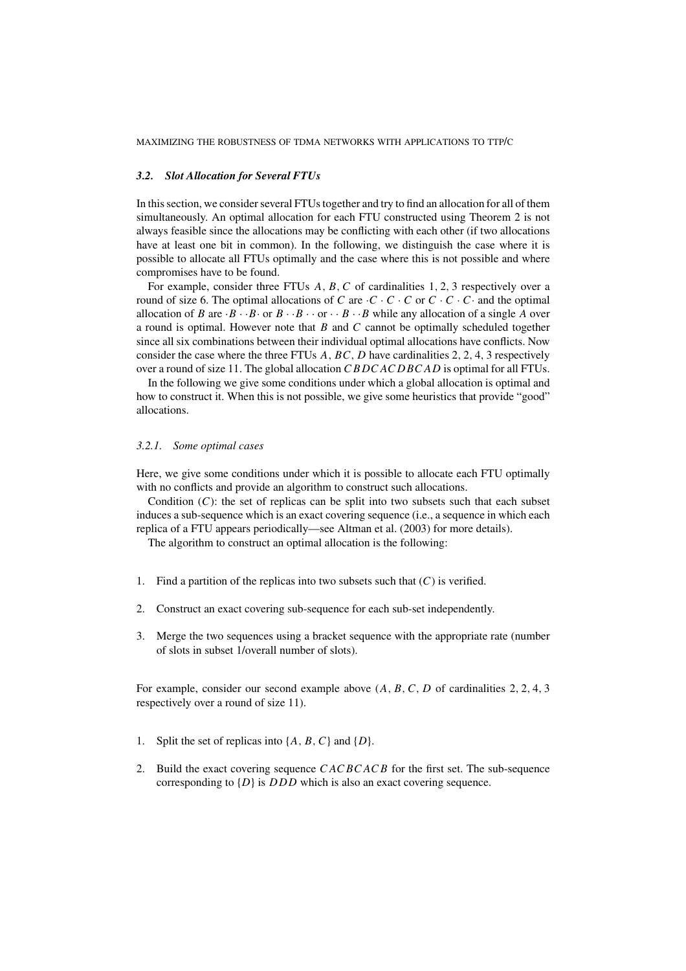## *3.2. Slot Allocation for Several FTUs*

In this section, we consider several FTUs together and try to find an allocation for all of them simultaneously. An optimal allocation for each FTU constructed using Theorem 2 is not always feasible since the allocations may be conflicting with each other (if two allocations have at least one bit in common). In the following, we distinguish the case where it is possible to allocate all FTUs optimally and the case where this is not possible and where compromises have to be found.

For example, consider three FTUs *A*, *B*,*C* of cardinalities 1, 2, 3 respectively over a round of size 6. The optimal allocations of *C* are  $\cdot$ *C*  $\cdot$  *C*  $\cdot$  *C*  $\cdot$  *C*  $\cdot$  *C*  $\cdot$  *C*  $\cdot$  *C*  $\cdot$  *C*  $\cdot$  *C*  $\cdot$  *C*  $\cdot$  *C*  $\cdot$  *C*  $\cdot$  *C*  $\cdot$  *C*  $\cdot$  *C*  $\cdot$  *C*  $\cdot$  *C*  $\cdot$  *C*  $\cdot$  *C* allocation of *B* are  $\cdot$ *B*  $\cdot$ *B*  $\cdot$ *B*  $\cdot$ *B*  $\cdot$  · *B*  $\cdot$ *B* while any allocation of a single *A* over a round is optimal. However note that *B* and *C* cannot be optimally scheduled together since all six combinations between their individual optimal allocations have conflicts. Now consider the case where the three FTUs *A*, *BC*, *D* have cardinalities 2, 2, 4, 3 respectively over a round of size 11. The global allocation *C BDC AC DBC AD* is optimal for all FTUs.

In the following we give some conditions under which a global allocation is optimal and how to construct it. When this is not possible, we give some heuristics that provide "good" allocations.

## *3.2.1. Some optimal cases*

Here, we give some conditions under which it is possible to allocate each FTU optimally with no conflicts and provide an algorithm to construct such allocations.

Condition  $(C)$ : the set of replicas can be split into two subsets such that each subset induces a sub-sequence which is an exact covering sequence (i.e., a sequence in which each replica of a FTU appears periodically—see Altman et al. (2003) for more details).

The algorithm to construct an optimal allocation is the following:

- 1. Find a partition of the replicas into two subsets such that (*C*) is verified.
- 2. Construct an exact covering sub-sequence for each sub-set independently.
- 3. Merge the two sequences using a bracket sequence with the appropriate rate (number of slots in subset 1/overall number of slots).

For example, consider our second example above (*A*, *B*,*C*, *D* of cardinalities 2, 2, 4, 3 respectively over a round of size 11).

- 1. Split the set of replicas into {*A*, *B*,*C*} and {*D*}.
- 2. Build the exact covering sequence *C AC BC AC B* for the first set. The sub-sequence corresponding to {*D*} is *DDD* which is also an exact covering sequence.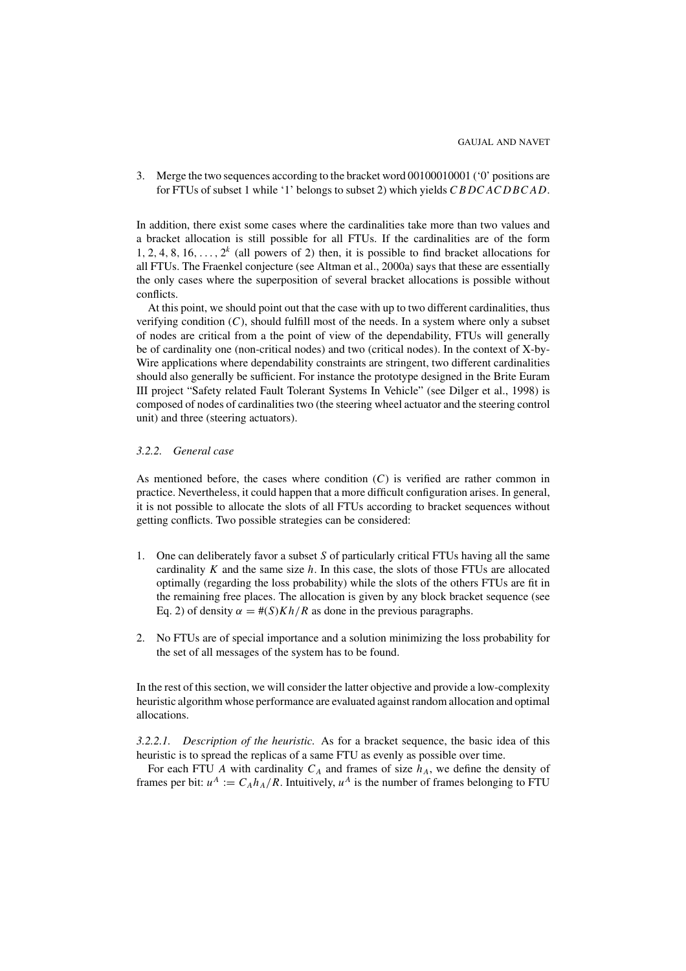3. Merge the two sequences according to the bracket word 00100010001 ('0' positions are for FTUs of subset 1 while '1' belongs to subset 2) which yields *C BDC AC DBC AD*.

In addition, there exist some cases where the cardinalities take more than two values and a bracket allocation is still possible for all FTUs. If the cardinalities are of the form 1, 2, 4, 8, 16,...,  $2^k$  (all powers of 2) then, it is possible to find bracket allocations for all FTUs. The Fraenkel conjecture (see Altman et al., 2000a) says that these are essentially the only cases where the superposition of several bracket allocations is possible without conflicts.

At this point, we should point out that the case with up to two different cardinalities, thus verifying condition  $(C)$ , should fulfill most of the needs. In a system where only a subset of nodes are critical from a the point of view of the dependability, FTUs will generally be of cardinality one (non-critical nodes) and two (critical nodes). In the context of X-by-Wire applications where dependability constraints are stringent, two different cardinalities should also generally be sufficient. For instance the prototype designed in the Brite Euram III project "Safety related Fault Tolerant Systems In Vehicle" (see Dilger et al., 1998) is composed of nodes of cardinalities two (the steering wheel actuator and the steering control unit) and three (steering actuators).

## *3.2.2. General case*

As mentioned before, the cases where condition  $(C)$  is verified are rather common in practice. Nevertheless, it could happen that a more difficult configuration arises. In general, it is not possible to allocate the slots of all FTUs according to bracket sequences without getting conflicts. Two possible strategies can be considered:

- 1. One can deliberately favor a subset *S* of particularly critical FTUs having all the same cardinality *K* and the same size *h*. In this case, the slots of those FTUs are allocated optimally (regarding the loss probability) while the slots of the others FTUs are fit in the remaining free places. The allocation is given by any block bracket sequence (see Eq. 2) of density  $\alpha = \frac{\#(S)K h}{R}$  as done in the previous paragraphs.
- 2. No FTUs are of special importance and a solution minimizing the loss probability for the set of all messages of the system has to be found.

In the rest of this section, we will consider the latter objective and provide a low-complexity heuristic algorithm whose performance are evaluated against random allocation and optimal allocations.

*3.2.2.1. Description of the heuristic.* As for a bracket sequence, the basic idea of this heuristic is to spread the replicas of a same FTU as evenly as possible over time.

For each FTU *A* with cardinality  $C_A$  and frames of size  $h_A$ , we define the density of frames per bit:  $u^A := C_A h_A / R$ . Intuitively,  $u^A$  is the number of frames belonging to FTU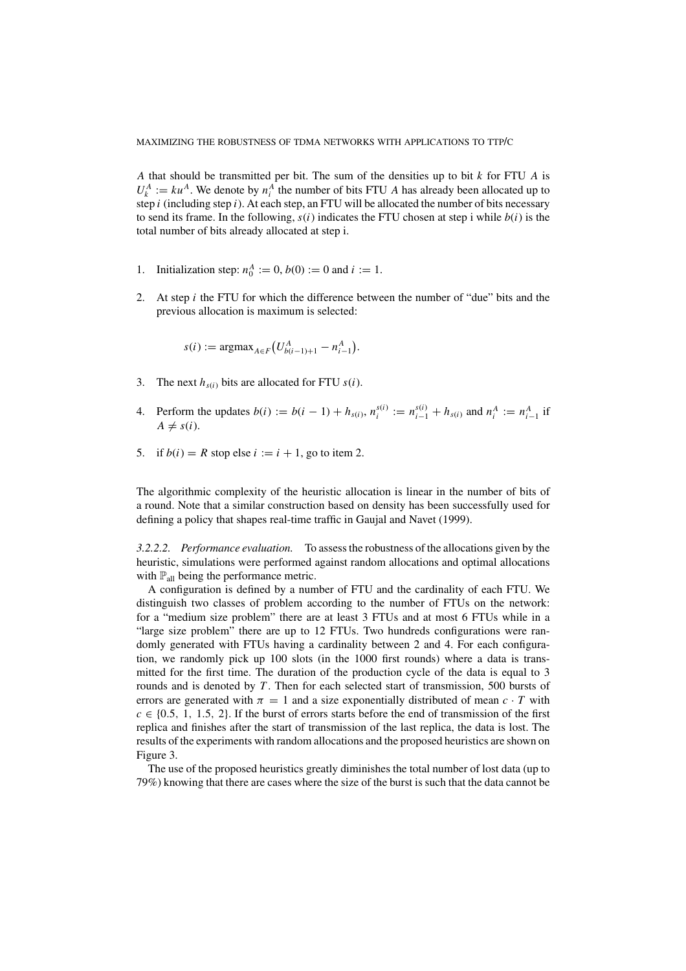*A* that should be transmitted per bit. The sum of the densities up to bit *k* for FTU *A* is  $U_k^A := ku^A$ . We denote by  $n_i^A$  the number of bits FTU *A* has already been allocated up to step *i* (including step *i*). At each step, an FTU will be allocated the number of bits necessary to send its frame. In the following,  $s(i)$  indicates the FTU chosen at step i while  $b(i)$  is the total number of bits already allocated at step i.

- 1. Initialization step:  $n_0^A := 0$ ,  $b(0) := 0$  and  $i := 1$ .
- 2. At step *i* the FTU for which the difference between the number of "due" bits and the previous allocation is maximum is selected:

$$
s(i) := \text{argmax}_{A \in F} (U_{b(i-1)+1}^A - n_{i-1}^A).
$$

- 3. The next  $h_{s(i)}$  bits are allocated for FTU  $s(i)$ .
- 4. Perform the updates  $b(i) := b(i 1) + h_{s(i)}$ ,  $n_i^{s(i)} := n_{i-1}^{s(i)} + h_{s(i)}$  and  $n_i^A := n_{i-1}^A$  if  $A \neq s(i)$ .
- 5. if  $b(i) = R$  stop else  $i := i + 1$ , go to item 2.

The algorithmic complexity of the heuristic allocation is linear in the number of bits of a round. Note that a similar construction based on density has been successfully used for defining a policy that shapes real-time traffic in Gaujal and Navet (1999).

*3.2.2.2. Performance evaluation.* To assess the robustness of the allocations given by the heuristic, simulations were performed against random allocations and optimal allocations with  $\mathbb{P}_{all}$  being the performance metric.

A configuration is defined by a number of FTU and the cardinality of each FTU. We distinguish two classes of problem according to the number of FTUs on the network: for a "medium size problem" there are at least 3 FTUs and at most 6 FTUs while in a "large size problem" there are up to 12 FTUs. Two hundreds configurations were randomly generated with FTUs having a cardinality between 2 and 4. For each configuration, we randomly pick up 100 slots (in the 1000 first rounds) where a data is transmitted for the first time. The duration of the production cycle of the data is equal to 3 rounds and is denoted by *T* . Then for each selected start of transmission, 500 bursts of errors are generated with  $\pi = 1$  and a size exponentially distributed of mean  $c \cdot T$  with  $c \in \{0.5, 1, 1.5, 2\}$ . If the burst of errors starts before the end of transmission of the first replica and finishes after the start of transmission of the last replica, the data is lost. The results of the experiments with random allocations and the proposed heuristics are shown on Figure 3.

The use of the proposed heuristics greatly diminishes the total number of lost data (up to 79%) knowing that there are cases where the size of the burst is such that the data cannot be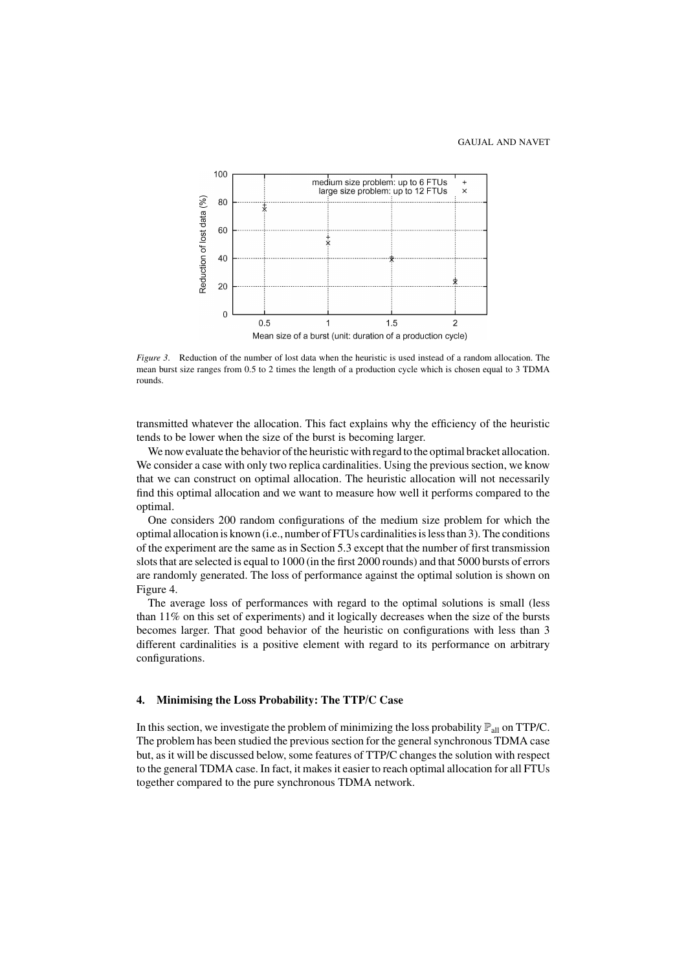

*Figure 3*. Reduction of the number of lost data when the heuristic is used instead of a random allocation. The mean burst size ranges from 0.5 to 2 times the length of a production cycle which is chosen equal to 3 TDMA rounds.

transmitted whatever the allocation. This fact explains why the efficiency of the heuristic tends to be lower when the size of the burst is becoming larger.

We now evaluate the behavior of the heuristic with regard to the optimal bracket allocation. We consider a case with only two replica cardinalities. Using the previous section, we know that we can construct on optimal allocation. The heuristic allocation will not necessarily find this optimal allocation and we want to measure how well it performs compared to the optimal.

One considers 200 random configurations of the medium size problem for which the optimal allocation is known (i.e., number of FTUs cardinalities is less than 3). The conditions of the experiment are the same as in Section 5.3 except that the number of first transmission slots that are selected is equal to 1000 (in the first 2000 rounds) and that 5000 bursts of errors are randomly generated. The loss of performance against the optimal solution is shown on Figure 4.

The average loss of performances with regard to the optimal solutions is small (less than 11% on this set of experiments) and it logically decreases when the size of the bursts becomes larger. That good behavior of the heuristic on configurations with less than 3 different cardinalities is a positive element with regard to its performance on arbitrary configurations.

# **4. Minimising the Loss Probability: The TTP/C Case**

In this section, we investigate the problem of minimizing the loss probability  $\mathbb{P}_{all}$  on TTP/C. The problem has been studied the previous section for the general synchronous TDMA case but, as it will be discussed below, some features of TTP/C changes the solution with respect to the general TDMA case. In fact, it makes it easier to reach optimal allocation for all FTUs together compared to the pure synchronous TDMA network.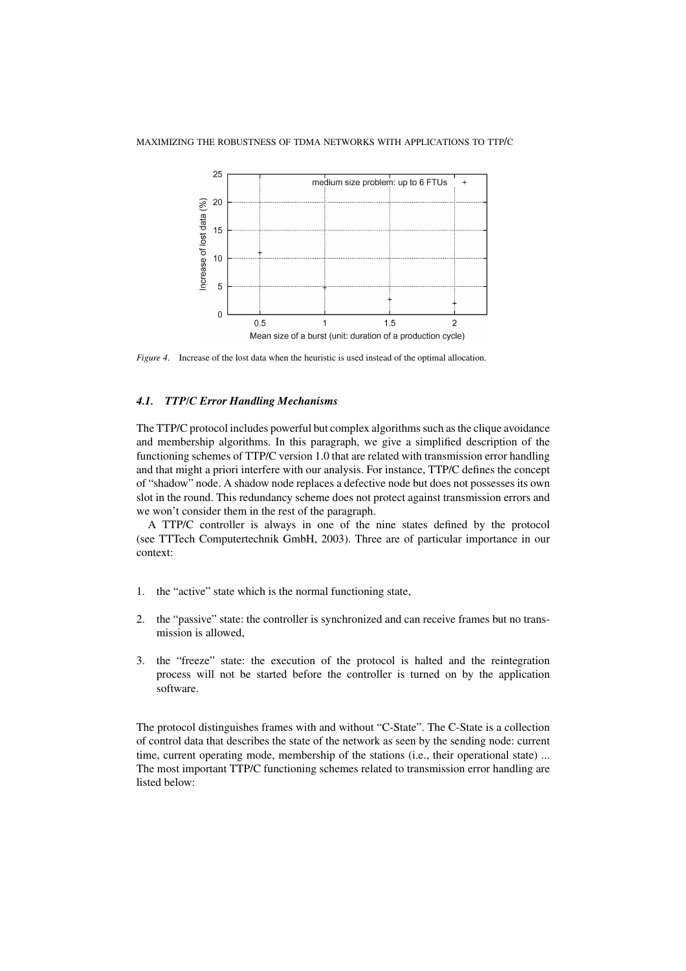



*Figure 4*. Increase of the lost data when the heuristic is used instead of the optimal allocation.

#### *4.1. TTP/C Error Handling Mechanisms*

The TTP/C protocol includes powerful but complex algorithms such as the clique avoidance and membership algorithms. In this paragraph, we give a simplified description of the functioning schemes of TTP/C version 1.0 that are related with transmission error handling and that might a priori interfere with our analysis. For instance, TTP/C defines the concept of "shadow" node. A shadow node replaces a defective node but does not possesses its own slot in the round. This redundancy scheme does not protect against transmission errors and we won't consider them in the rest of the paragraph.

A TTP/C controller is always in one of the nine states defined by the protocol (see TTTech Computertechnik GmbH, 2003). Three are of particular importance in our context:

- 1. the "active" state which is the normal functioning state,
- 2. the "passive" state: the controller is synchronized and can receive frames but no transmission is allowed,
- 3. the "freeze" state: the execution of the protocol is halted and the reintegration process will not be started before the controller is turned on by the application software.

The protocol distinguishes frames with and without "C-State". The C-State is a collection of control data that describes the state of the network as seen by the sending node: current time, current operating mode, membership of the stations (i.e., their operational state) ... The most important TTP/C functioning schemes related to transmission error handling are listed below: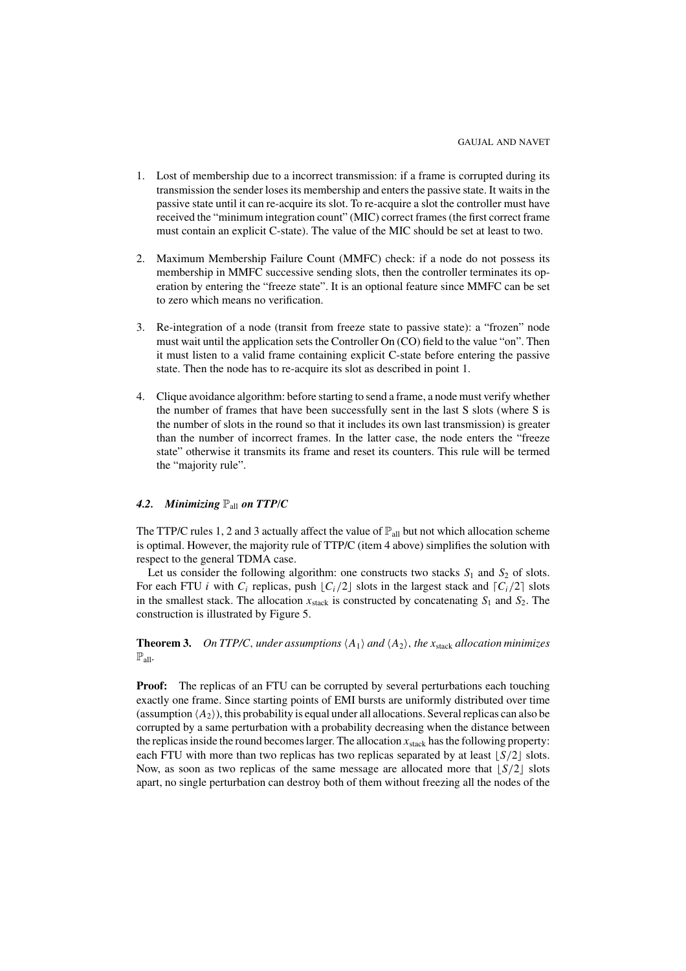- 1. Lost of membership due to a incorrect transmission: if a frame is corrupted during its transmission the sender loses its membership and enters the passive state. It waits in the passive state until it can re-acquire its slot. To re-acquire a slot the controller must have received the "minimum integration count" (MIC) correct frames (the first correct frame must contain an explicit C-state). The value of the MIC should be set at least to two.
- 2. Maximum Membership Failure Count (MMFC) check: if a node do not possess its membership in MMFC successive sending slots, then the controller terminates its operation by entering the "freeze state". It is an optional feature since MMFC can be set to zero which means no verification.
- 3. Re-integration of a node (transit from freeze state to passive state): a "frozen" node must wait until the application sets the Controller On (CO) field to the value "on". Then it must listen to a valid frame containing explicit C-state before entering the passive state. Then the node has to re-acquire its slot as described in point 1.
- 4. Clique avoidance algorithm: before starting to send a frame, a node must verify whether the number of frames that have been successfully sent in the last S slots (where S is the number of slots in the round so that it includes its own last transmission) is greater than the number of incorrect frames. In the latter case, the node enters the "freeze state" otherwise it transmits its frame and reset its counters. This rule will be termed the "majority rule".

## *4.2. Minimizing*  $\mathbb{P}_{all}$  *on TTP/C*

The TTP/C rules 1, 2 and 3 actually affect the value of  $\mathbb{P}_{all}$  but not which allocation scheme is optimal. However, the majority rule of TTP/C (item 4 above) simplifies the solution with respect to the general TDMA case.

Let us consider the following algorithm: one constructs two stacks  $S_1$  and  $S_2$  of slots. For each FTU *i* with  $C_i$  replicas, push  $\lfloor C_i/2 \rfloor$  slots in the largest stack and  $\lfloor C_i/2 \rfloor$  slots in the smallest stack. The allocation  $x_{\text{stack}}$  is constructed by concatenating  $S_1$  and  $S_2$ . The construction is illustrated by Figure 5.

**Theorem 3.** On TTP/C, under assumptions  $\langle A_1 \rangle$  and  $\langle A_2 \rangle$ , the  $x_{\text{stack}}$  allocation minimizes  $\mathbb{P}_{all}$ .

**Proof:** The replicas of an FTU can be corrupted by several perturbations each touching exactly one frame. Since starting points of EMI bursts are uniformly distributed over time (assumption  $\langle A_2 \rangle$ ), this probability is equal under all allocations. Several replicas can also be corrupted by a same perturbation with a probability decreasing when the distance between the replicas inside the round becomes larger. The allocation *x*stack has the following property: each FTU with more than two replicas has two replicas separated by at least  $\lfloor S/2 \rfloor$  slots. Now, as soon as two replicas of the same message are allocated more that  $\lfloor S/2 \rfloor$  slots apart, no single perturbation can destroy both of them without freezing all the nodes of the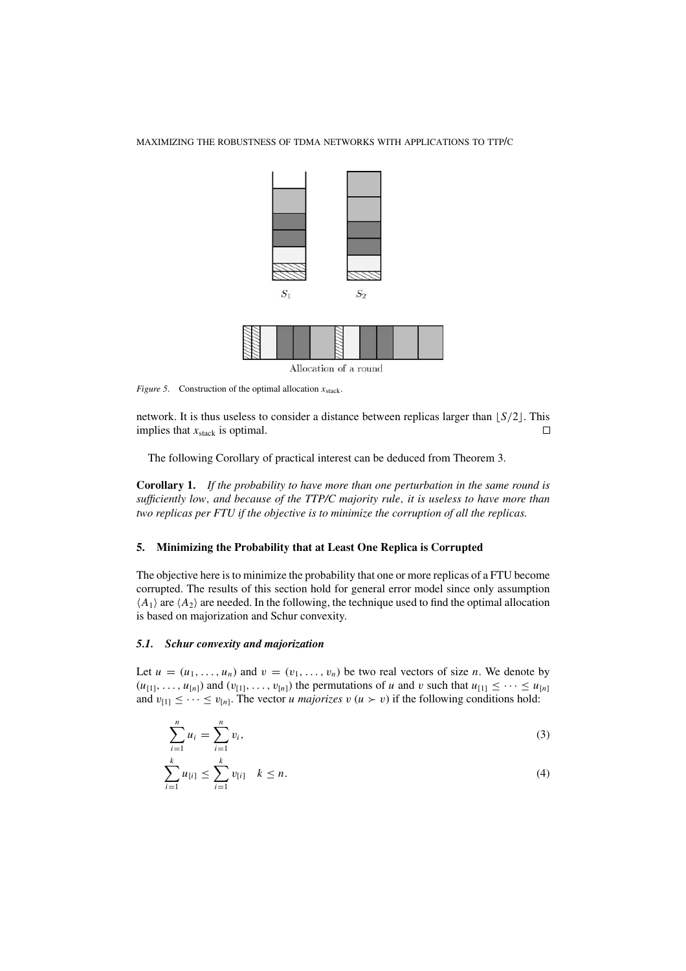



Allocation of a round

*Figure 5.* Construction of the optimal allocation  $x_{stack}$ .

network. It is thus useless to consider a distance between replicas larger than  $\lfloor S/2 \rfloor$ . This implies that  $x_{\text{stack}}$  is optimal.  $\Box$ 

The following Corollary of practical interest can be deduced from Theorem 3.

**Corollary 1.** *If the probability to have more than one perturbation in the same round is sufficiently low*, *and because of the TTP/C majority rule*, *it is useless to have more than two replicas per FTU if the objective is to minimize the corruption of all the replicas.*

## **5. Minimizing the Probability that at Least One Replica is Corrupted**

The objective here is to minimize the probability that one or more replicas of a FTU become corrupted. The results of this section hold for general error model since only assumption  $\langle A_1 \rangle$  are  $\langle A_2 \rangle$  are needed. In the following, the technique used to find the optimal allocation is based on majorization and Schur convexity.

## *5.1. Schur convexity and majorization*

Let  $u = (u_1, \ldots, u_n)$  and  $v = (v_1, \ldots, v_n)$  be two real vectors of size *n*. We denote by  $(u_{[1]},...,u_{[n]})$  and  $(v_{[1]},...,v_{[n]})$  the permutations of *u* and *v* such that  $u_{[1]} \leq ... \leq u_{[n]}$ and  $v_{[1]} \leq \cdots \leq v_{[n]}$ . The vector *u majorizes*  $v$  ( $u > v$ ) if the following conditions hold:

$$
\sum_{i=1}^{n} u_i = \sum_{i=1}^{n} v_i,
$$
\n(3)

$$
\sum_{i=1}^{k} u_{[i]} \le \sum_{i=1}^{k} v_{[i]} \quad k \le n.
$$
 (4)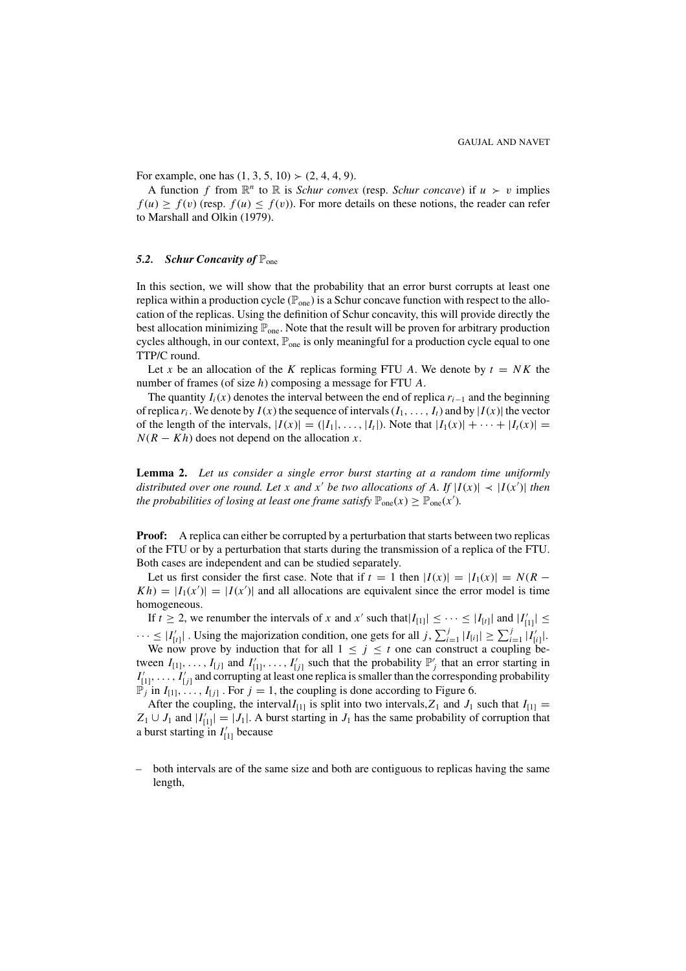For example, one has  $(1, 3, 5, 10)$   $\geq$   $(2, 4, 4, 9)$ .

A function *f* from  $\mathbb{R}^n$  to  $\mathbb{R}$  is *Schur convex* (resp. *Schur concave*) if  $u > v$  implies  $f(u) \ge f(v)$  (resp.  $f(u) \le f(v)$ ). For more details on these notions, the reader can refer to Marshall and Olkin (1979).

## 5.2. Schur Concavity of  $\mathbb{P}_{one}$

In this section, we will show that the probability that an error burst corrupts at least one replica within a production cycle ( $\mathbb{P}_{one}$ ) is a Schur concave function with respect to the allocation of the replicas. Using the definition of Schur concavity, this will provide directly the best allocation minimizing  $\mathbb{P}_{one}$ . Note that the result will be proven for arbitrary production cycles although, in our context,  $\mathbb{P}_{one}$  is only meaningful for a production cycle equal to one TTP/C round.

Let *x* be an allocation of the *K* replicas forming FTU *A*. We denote by  $t = N K$  the number of frames (of size *h*) composing a message for FTU *A*.

The quantity  $I_i(x)$  denotes the interval between the end of replica  $r_{i-1}$  and the beginning of replica  $r_i$ . We denote by  $I(x)$  the sequence of intervals  $(I_1, \ldots, I_t)$  and by  $|I(x)|$  the vector of the length of the intervals,  $|I(x)| = (|I_1|, \ldots, |I_t|)$ . Note that  $|I_1(x)| + \cdots + |I_t(x)| =$  $N(R - Kh)$  does not depend on the allocation *x*.

**Lemma 2.** *Let us consider a single error burst starting at a random time uniformly distributed over one round. Let x and x' be two allocations of A. If*  $|I(x)| \prec |I(x')|$  *then the probabilities of losing at least one frame satisfy*  $\mathbb{P}_{one}(x) \geq \mathbb{P}_{one}(x')$ .

**Proof:** A replica can either be corrupted by a perturbation that starts between two replicas of the FTU or by a perturbation that starts during the transmission of a replica of the FTU. Both cases are independent and can be studied separately.

Let us first consider the first case. Note that if  $t = 1$  then  $|I(x)| = |I_1(x)| = N(R Kh = |I_1(x')| = |I(x')|$  and all allocations are equivalent since the error model is time homogeneous.

If  $t \ge 2$ , we renumber the intervals of *x* and *x'* such that  $|I_{[1]}| \le \cdots \le |I_{[t]}|$  and  $|I'_{[1]}| \le$  $\cdots \leq |I'_{[t]}|$ . Using the majorization condition, one gets for all *j*,  $\sum_{i=1}^{j} |I_{[i]}| \geq \sum_{i=1}^{j} |I'_{[i]}|$ .

We now prove by induction that for all  $1 \leq j \leq t$  one can construct a coupling between  $I_{[1]}, \ldots, I_{[j]}$  and  $I'_{[1]}, \ldots, I'_{[j]}$  such that the probability  $\mathbb{P}'_j$  that an error starting in  $I'_{[1]}, \ldots, I'_{[j]}$  and corrupting at least one replica is smaller than the corresponding probability  $\mathbb{P}_j^{\mathbb{P}_j}$  in  $I_{[1]},\ldots,I_{[j]}$ . For  $j=1$ , the coupling is done according to Figure 6.

After the coupling, the interval $I_{[1]}$  is split into two intervals,  $Z_1$  and  $J_1$  such that  $I_{[1]} =$  $Z_1 \cup J_1$  and  $|I'_{[1]}| = |J_1|$ . A burst starting in  $J_1$  has the same probability of corruption that a burst starting in  $I'_{[1]}$  because

– both intervals are of the same size and both are contiguous to replicas having the same length,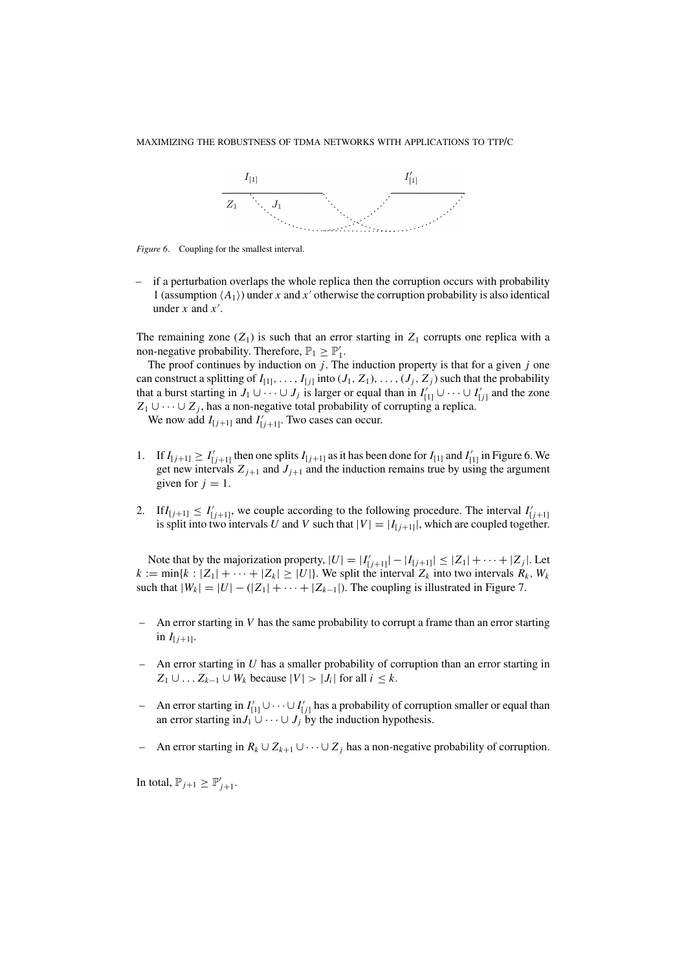

*Figure 6*. Coupling for the smallest interval.

– if a perturbation overlaps the whole replica then the corruption occurs with probability 1 (assumption  $\langle A_1 \rangle$ ) under *x* and *x'* otherwise the corruption probability is also identical under  $x$  and  $x'$ .

The remaining zone  $(Z_1)$  is such that an error starting in  $Z_1$  corrupts one replica with a non-negative probability. Therefore,  $\mathbb{P}_1 \geq \mathbb{P}'_1$ .

The proof continues by induction on *j*. The induction property is that for a given *j* one can construct a splitting of  $I_{[1]}, \ldots, I_{[j]}$  into  $(J_1, Z_1), \ldots, (J_j, Z_j)$  such that the probability that a burst starting in  $J_1 \cup \cdots \cup J_j$  is larger or equal than in  $I'_{[1]} \cup \cdots \cup I'_{[j]}$  and the zone  $Z_1 \cup \cdots \cup Z_j$ , has a non-negative total probability of corrupting a replica.

We now add  $I_{[j+1]}$  and  $I'_{[j+1]}$ . Two cases can occur.

- 1. If  $I_{[j+1]} \geq I'_{[j+1]}$  then one splits  $I_{[j+1]}$  as it has been done for  $I_{[1]}$  and  $I'_{[1]}$  in Figure 6. We get new intervals  $Z_{j+1}$  and  $J_{j+1}$  and the induction remains true by using the argument given for  $j = 1$ .
- 2. If  $I_{[j+1]} \leq I'_{[j+1]}$ , we couple according to the following procedure. The interval  $I'_{[j+1]}$ is split into two intervals *U* and *V* such that  $|V| = |I_{[j+1]}|$ , which are coupled together.

Note that by the majorization property,  $|U| = |I'_{[j+1]}| - |I_{[j+1]}| \leq |Z_1| + \cdots + |Z_j|$ . Let  $k := \min\{k : |Z_1| + \cdots + |Z_k| \geq |U|\}$ . We split the interval  $Z_k$  into two intervals  $R_k$ ,  $W_k$ such that  $|W_k| = |U| - (|Z_1| + \cdots + |Z_{k-1}|)$ . The coupling is illustrated in Figure 7.

- An error starting in *V* has the same probability to corrupt a frame than an error starting in  $I_{[j+1]}$ .
- An error starting in *U* has a smaller probability of corruption than an error starting in *Z*<sub>1</sub> ∪ ... *Z*<sub>*k*−1</sub> ∪ *W<sub>k</sub>* because  $|V| > |J_i|$  for all  $i < k$ .
- An error starting in *I* [1] ∪···∪ *I* [*j*] has a probability of corruption smaller or equal than an error starting in $J_1 \cup \cdots \cup J_j$  by the induction hypothesis.
- An error starting in  $R_k \cup Z_{k+1} \cup \cdots \cup Z_j$  has a non-negative probability of corruption.

In total,  $\mathbb{P}_{j+1} \geq \mathbb{P}'_{j+1}$ .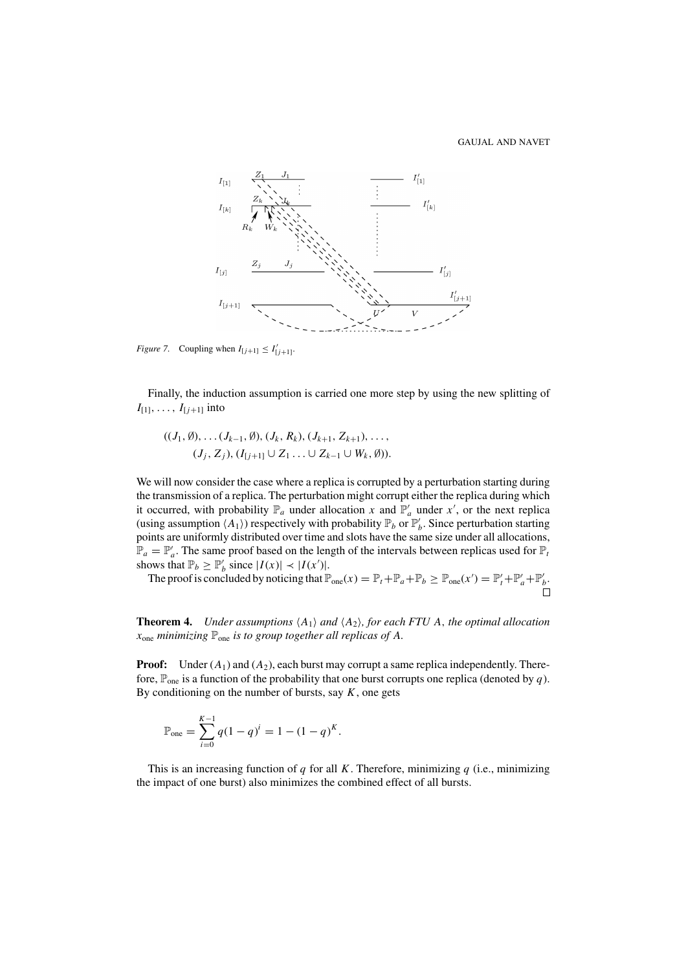

*Figure 7.* Coupling when  $I_{[j+1]} \leq I'_{[j+1]}$ .

Finally, the induction assumption is carried one more step by using the new splitting of  $I_{[1]}, \ldots, I_{[j+1]}$  into

$$
((J_1, \emptyset), \ldots (J_{k-1}, \emptyset), (J_k, R_k), (J_{k+1}, Z_{k+1}), \ldots,
$$
  
 $(J_j, Z_j), (I_{[j+1]} \cup Z_1 \ldots \cup Z_{k-1} \cup W_k, \emptyset)).$ 

We will now consider the case where a replica is corrupted by a perturbation starting during the transmission of a replica. The perturbation might corrupt either the replica during which it occurred, with probability  $\mathbb{P}_a$  under allocation *x* and  $\mathbb{P}'_a$  under *x'*, or the next replica (using assumption  $\langle A_1 \rangle$ ) respectively with probability  $\mathbb{P}_b$  or  $\mathbb{P}'_b$ . Since perturbation starting points are uniformly distributed over time and slots have the same size under all allocations,  $\mathbb{P}_a = \mathbb{P}'_a$ . The same proof based on the length of the intervals between replicas used for  $\mathbb{P}_t$ shows that  $\mathbb{P}_b \ge \mathbb{P}'_b$  since  $|I(x)| \prec |I(x')|$ .

The proof is concluded by noticing that  $\mathbb{P}_{one}(x) = \mathbb{P}_t + \mathbb{P}_a + \mathbb{P}_b \geq \mathbb{P}_{one}(x') = \mathbb{P}'_t + \mathbb{P}'_a + \mathbb{P}'_b$ .

**Theorem 4.** Under assumptions  $\langle A_1 \rangle$  and  $\langle A_2 \rangle$ , for each FTU A, the optimal allocation  $x_{one}$  *minimizing*  $\mathbb{P}_{one}$  *is to group together all replicas of A.* 

**Proof:** Under ( $A_1$ ) and ( $A_2$ ), each burst may corrupt a same replica independently. Therefore,  $\mathbb{P}_{one}$  is a function of the probability that one burst corrupts one replica (denoted by *q*). By conditioning on the number of bursts, say *K*, one gets

$$
\mathbb{P}_{one} = \sum_{i=0}^{K-1} q(1-q)^i = 1 - (1-q)^K.
$$

This is an increasing function of *q* for all *K*. Therefore, minimizing *q* (i.e., minimizing the impact of one burst) also minimizes the combined effect of all bursts.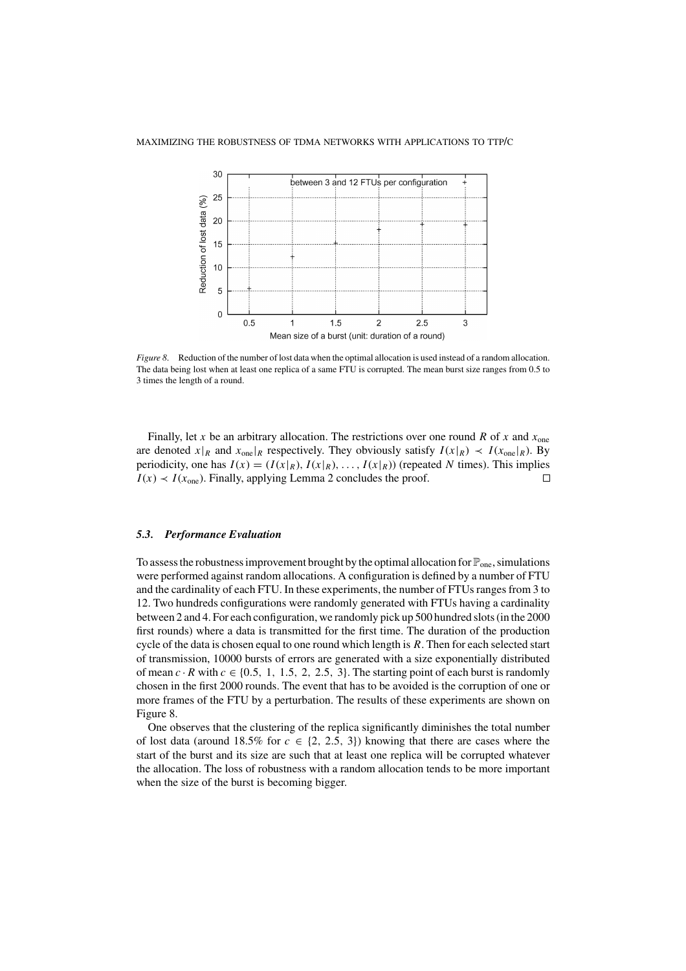

*Figure 8*. Reduction of the number of lost data when the optimal allocation is used instead of a random allocation. The data being lost when at least one replica of a same FTU is corrupted. The mean burst size ranges from 0.5 to 3 times the length of a round.

Finally, let *x* be an arbitrary allocation. The restrictions over one round *R* of *x* and  $x_{one}$ are denoted  $x|_R$  and  $x_{one}|_R$  respectively. They obviously satisfy  $I(x|_R) \prec I(x_{one}|_R)$ . By periodicity, one has  $I(x) = (I(x|_R), I(x|_R), \ldots, I(x|_R))$  (repeated *N* times). This implies  $I(x) \prec I(x_{one})$ . Finally, applying Lemma 2 concludes the proof. П

#### *5.3. Performance Evaluation*

To assess the robustness improvement brought by the optimal allocation for  $\mathbb{P}_{one}$ , simulations were performed against random allocations. A configuration is defined by a number of FTU and the cardinality of each FTU. In these experiments, the number of FTUs ranges from 3 to 12. Two hundreds configurations were randomly generated with FTUs having a cardinality between 2 and 4. For each configuration, we randomly pick up 500 hundred slots (in the 2000 first rounds) where a data is transmitted for the first time. The duration of the production cycle of the data is chosen equal to one round which length is *R*. Then for each selected start of transmission, 10000 bursts of errors are generated with a size exponentially distributed of mean  $c \cdot R$  with  $c \in \{0.5, 1, 1.5, 2, 2.5, 3\}$ . The starting point of each burst is randomly chosen in the first 2000 rounds. The event that has to be avoided is the corruption of one or more frames of the FTU by a perturbation. The results of these experiments are shown on Figure 8.

One observes that the clustering of the replica significantly diminishes the total number of lost data (around 18.5% for  $c \in \{2, 2.5, 3\}$ ) knowing that there are cases where the start of the burst and its size are such that at least one replica will be corrupted whatever the allocation. The loss of robustness with a random allocation tends to be more important when the size of the burst is becoming bigger.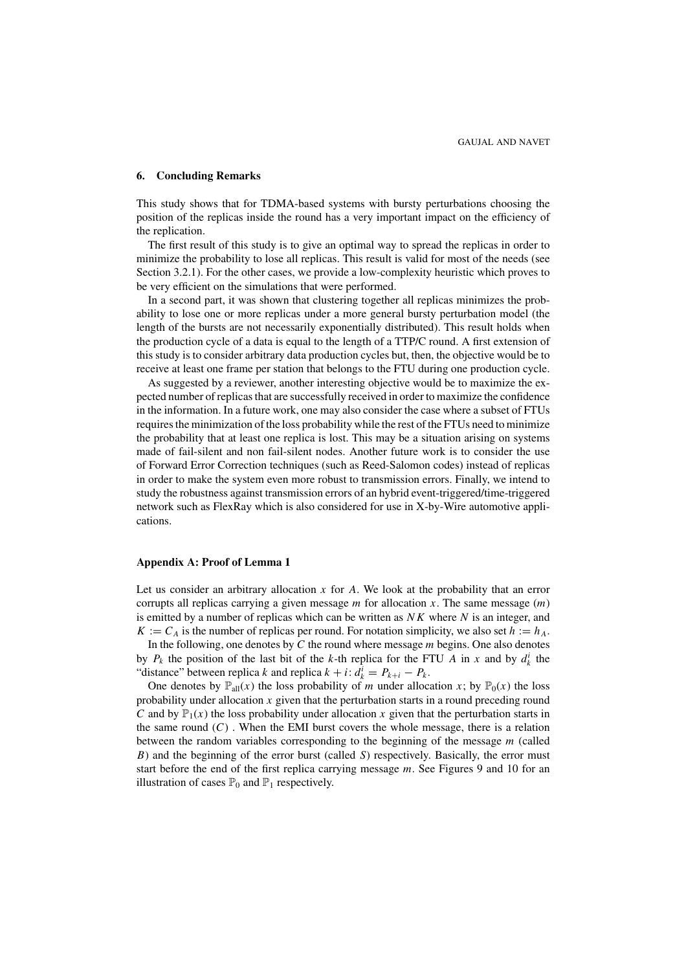#### **6. Concluding Remarks**

This study shows that for TDMA-based systems with bursty perturbations choosing the position of the replicas inside the round has a very important impact on the efficiency of the replication.

The first result of this study is to give an optimal way to spread the replicas in order to minimize the probability to lose all replicas. This result is valid for most of the needs (see Section 3.2.1). For the other cases, we provide a low-complexity heuristic which proves to be very efficient on the simulations that were performed.

In a second part, it was shown that clustering together all replicas minimizes the probability to lose one or more replicas under a more general bursty perturbation model (the length of the bursts are not necessarily exponentially distributed). This result holds when the production cycle of a data is equal to the length of a TTP/C round. A first extension of this study is to consider arbitrary data production cycles but, then, the objective would be to receive at least one frame per station that belongs to the FTU during one production cycle.

As suggested by a reviewer, another interesting objective would be to maximize the expected number of replicas that are successfully received in order to maximize the confidence in the information. In a future work, one may also consider the case where a subset of FTUs requires the minimization of the loss probability while the rest of the FTUs need to minimize the probability that at least one replica is lost. This may be a situation arising on systems made of fail-silent and non fail-silent nodes. Another future work is to consider the use of Forward Error Correction techniques (such as Reed-Salomon codes) instead of replicas in order to make the system even more robust to transmission errors. Finally, we intend to study the robustness against transmission errors of an hybrid event-triggered/time-triggered network such as FlexRay which is also considered for use in X-by-Wire automotive applications.

#### **Appendix A: Proof of Lemma 1**

Let us consider an arbitrary allocation *x* for *A*. We look at the probability that an error corrupts all replicas carrying a given message *m* for allocation *x*. The same message (*m*) is emitted by a number of replicas which can be written as *N K* where *N* is an integer, and  $K := C_A$  is the number of replicas per round. For notation simplicity, we also set  $h := h_A$ .

In the following, one denotes by *C* the round where message *m* begins. One also denotes by  $P_k$  the position of the last bit of the *k*-th replica for the FTU *A* in *x* and by  $d_k^i$  the "distance" between replica *k* and replica  $k + i$ :  $d_k^i = P_{k+i} - P_k$ .

One denotes by  $\mathbb{P}_{all}(x)$  the loss probability of *m* under allocation *x*; by  $\mathbb{P}_{0}(x)$  the loss probability under allocation  $x$  given that the perturbation starts in a round preceding round *C* and by  $\mathbb{P}_1(x)$  the loss probability under allocation *x* given that the perturbation starts in the same round  $(C)$ . When the EMI burst covers the whole message, there is a relation between the random variables corresponding to the beginning of the message *m* (called *B*) and the beginning of the error burst (called *S*) respectively. Basically, the error must start before the end of the first replica carrying message *m*. See Figures 9 and 10 for an illustration of cases  $\mathbb{P}_0$  and  $\mathbb{P}_1$  respectively.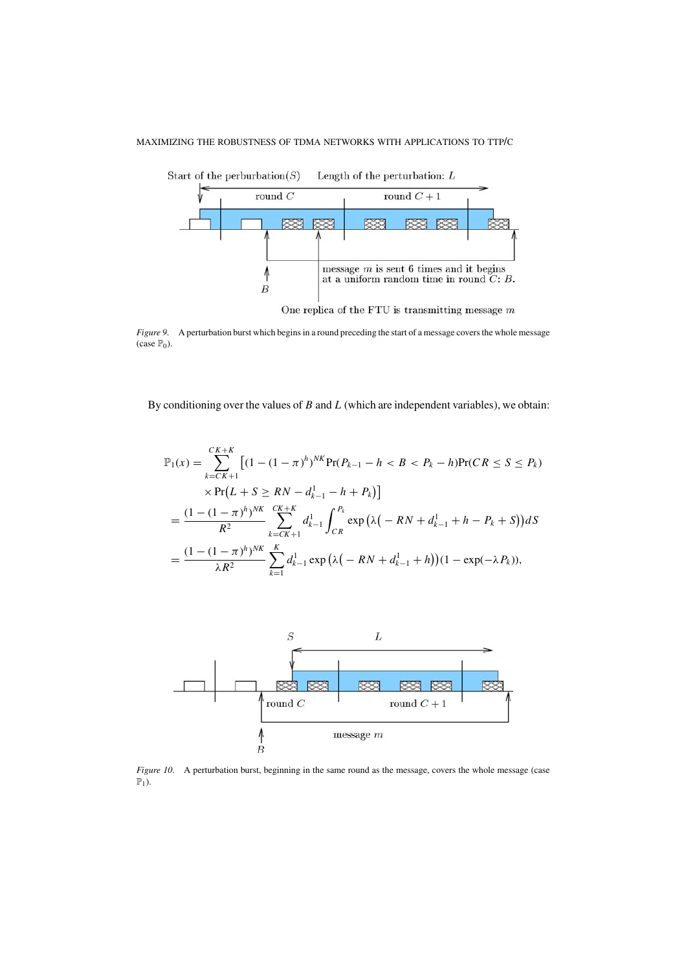

*Figure 9*. A perturbation burst which begins in a round preceding the start of a message covers the whole message (case  $\mathbb{P}_0$ ).

By conditioning over the values of *B* and *L* (which are independent variables), we obtain:

$$
\mathbb{P}_1(x) = \sum_{k=C K+1}^{CK+K} \left[ (1 - (1 - \pi)^h)^{NK} \Pr(P_{k-1} - h < B < P_k - h) \Pr(C R \le S \le P_k) \right]
$$
\n
$$
\times \Pr(L + S \ge RN - d_{k-1}^1 - h + P_k) \right]
$$
\n
$$
= \frac{(1 - (1 - \pi)^h)^{NK}}{R^2} \sum_{k=CK+1}^{CK+K} d_{k-1}^1 \int_{CR}^{P_k} \exp\left(\lambda \left(-RN + d_{k-1}^1 + h - P_k + S\right)\right) dS
$$
\n
$$
= \frac{(1 - (1 - \pi)^h)^{NK}}{\lambda R^2} \sum_{k=1}^K d_{k-1}^1 \exp\left(\lambda \left(-RN + d_{k-1}^1 + h\right)\right) (1 - \exp(-\lambda P_k)),
$$



*Figure 10*. A perturbation burst, beginning in the same round as the message, covers the whole message (case  $\mathbb{P}_1$ ).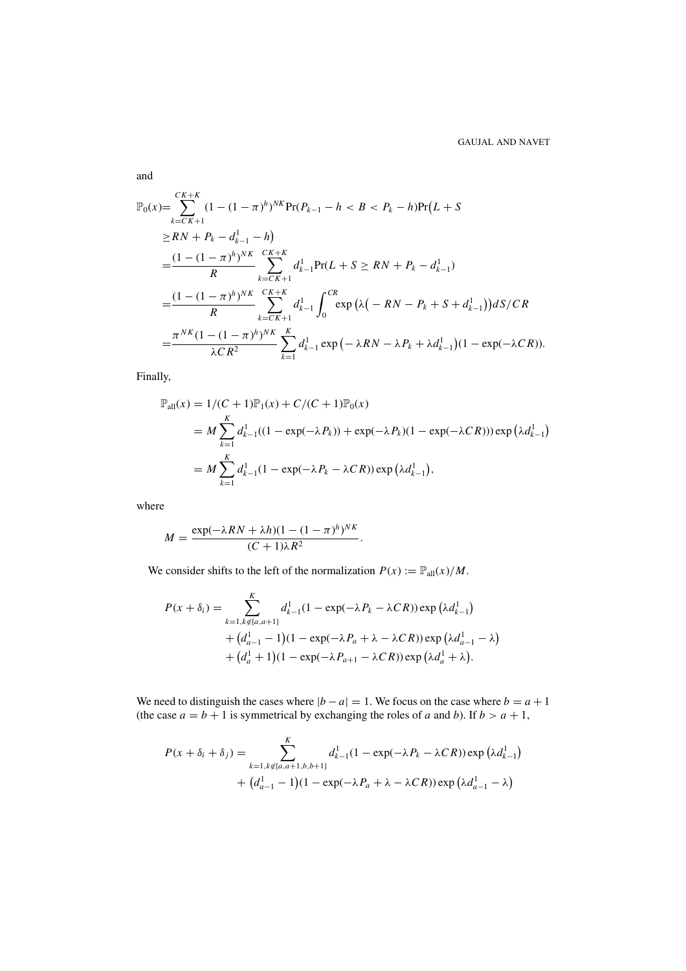$$
\mathbb{P}_0(x) = \sum_{k=C}^{CK+K} (1 - (1 - \pi)^h)^{NK} \Pr(P_{k-1} - h < B < P_k - h) \Pr(L + S)
$$
\n
$$
\geq RN + P_k - d_{k-1}^1 - h)
$$
\n
$$
= \frac{(1 - (1 - \pi)^h)^{NK}}{R} \sum_{k=C}^{CK+K} d_{k-1}^1 \Pr(L + S \geq RN + P_k - d_{k-1}^1)
$$
\n
$$
= \frac{(1 - (1 - \pi)^h)^{NK}}{R} \sum_{k=C}^{CK+K} d_{k-1}^1 \int_0^{CR} \exp\left(\lambda \left(-RN - P_k + S + d_{k-1}^1\right)\right) dS / CR
$$
\n
$$
= \frac{\pi^{NK} (1 - (1 - \pi)^h)^{NK}}{\lambda CR^2} \sum_{k=1}^K d_{k-1}^1 \exp\left(-\lambda RN - \lambda P_k + \lambda d_{k-1}^1\right) (1 - \exp(-\lambda CR)).
$$

Finally,

$$
\mathbb{P}_{all}(x) = 1/(C+1)\mathbb{P}_1(x) + C/(C+1)\mathbb{P}_0(x)
$$
  
=  $M \sum_{k=1}^K d_{k-1}^1((1 - \exp(-\lambda P_k)) + \exp(-\lambda P_k)(1 - \exp(-\lambda CR))) \exp(\lambda d_{k-1}^1)$   
=  $M \sum_{k=1}^K d_{k-1}^1(1 - \exp(-\lambda P_k - \lambda CR)) \exp(\lambda d_{k-1}^1),$ 

where

$$
M = \frac{\exp(-\lambda RN + \lambda h)(1 - (1 - \pi)^h)^{NK}}{(C + 1)\lambda R^2}.
$$

We consider shifts to the left of the normalization  $P(x) := \mathbb{P}_{all}(x)/M$ .

$$
P(x+\delta_i) = \sum_{k=1, k \notin \{a, a+1\}}^{K} d_{k-1}^1 (1 - \exp(-\lambda P_k - \lambda CR)) \exp\left(\lambda d_{k-1}^1\right)
$$
  
+ 
$$
\left(d_{a-1}^1 - 1\right) (1 - \exp(-\lambda P_a + \lambda - \lambda CR)) \exp\left(\lambda d_{a-1}^1 - \lambda\right)
$$
  
+ 
$$
\left(d_a^1 + 1\right) (1 - \exp(-\lambda P_{a+1} - \lambda CR)) \exp\left(\lambda d_a^1 + \lambda\right).
$$

We need to distinguish the cases where  $|b - a| = 1$ . We focus on the case where  $b = a + 1$ (the case  $a = b + 1$  is symmetrical by exchanging the roles of *a* and *b*). If  $b > a + 1$ ,

$$
P(x + \delta_i + \delta_j) = \sum_{k=1, k \notin \{a, a+1, b, b+1\}}^{K} d_{k-1}^1 (1 - \exp(-\lambda P_k - \lambda C R)) \exp(\lambda d_{k-1}^1) + (d_{a-1}^1 - 1)(1 - \exp(-\lambda P_a + \lambda - \lambda C R)) \exp(\lambda d_{a-1}^1 - \lambda)
$$

and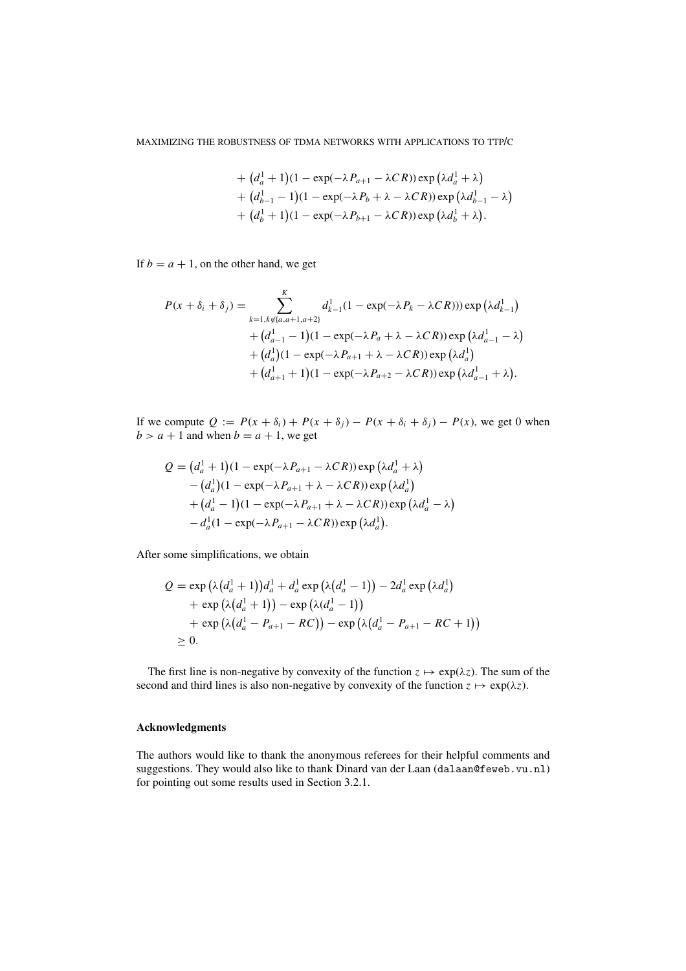+ 
$$
(d_a^1 + 1)(1 - \exp(-\lambda P_{a+1} - \lambda CR)) \exp(\lambda d_a^1 + \lambda)
$$
  
+  $(d_{b-1}^1 - 1)(1 - \exp(-\lambda P_b + \lambda - \lambda CR)) \exp(\lambda d_{b-1}^1 - \lambda)$   
+  $(d_b^1 + 1)(1 - \exp(-\lambda P_{b+1} - \lambda CR)) \exp(\lambda d_b^1 + \lambda)$ .

If  $b = a + 1$ , on the other hand, we get

$$
P(x + \delta_i + \delta_j) = \sum_{k=1, k \notin \{a, a+1, a+2\}}^{K} d_{k-1}^1 (1 - \exp(-\lambda P_k - \lambda CR)) \exp(\lambda d_{k-1}^1) + (d_{a-1}^1 - 1)(1 - \exp(-\lambda P_a + \lambda - \lambda CR)) \exp(\lambda d_{a-1}^1 - \lambda) + (d_a^1)(1 - \exp(-\lambda P_{a+1} + \lambda - \lambda CR)) \exp(\lambda d_a^1) + (d_{a+1}^1 + 1)(1 - \exp(-\lambda P_{a+2} - \lambda CR)) \exp(\lambda d_{a-1}^1 + \lambda).
$$

If we compute  $Q := P(x + \delta_i) + P(x + \delta_i) - P(x + \delta_i + \delta_i) - P(x)$ , we get 0 when  $b > a + 1$  and when  $b = a + 1$ , we get

$$
Q = (d_a^1 + 1)(1 - \exp(-\lambda P_{a+1} - \lambda CR)) \exp(\lambda d_a^1 + \lambda)
$$
  
-  $(d_a^1)(1 - \exp(-\lambda P_{a+1} + \lambda - \lambda CR)) \exp(\lambda d_a^1)$   
+  $(d_a^1 - 1)(1 - \exp(-\lambda P_{a+1} + \lambda - \lambda CR)) \exp(\lambda d_a^1 - \lambda)$   
-  $d_a^1(1 - \exp(-\lambda P_{a+1} - \lambda CR)) \exp(\lambda d_a^1).$ 

After some simplifications, we obtain

$$
Q = \exp\left(\lambda \left(d_a^1 + 1\right)\right) d_a^1 + d_a^1 \exp\left(\lambda \left(d_a^1 - 1\right)\right) - 2d_a^1 \exp\left(\lambda d_a^1\right) + \exp\left(\lambda \left(d_a^1 + 1\right)\right) - \exp\left(\lambda \left(d_a^1 - 1\right)\right) + \exp\left(\lambda \left(d_a^1 - P_{a+1} - RC\right)\right) - \exp\left(\lambda \left(d_a^1 - P_{a+1} - RC + 1\right)\right) \geq 0.
$$

The first line is non-negative by convexity of the function  $z \mapsto \exp(\lambda z)$ . The sum of the second and third lines is also non-negative by convexity of the function  $z \mapsto \exp(\lambda z)$ .

# **Acknowledgments**

The authors would like to thank the anonymous referees for their helpful comments and suggestions. They would also like to thank Dinard van der Laan (dalaan@feweb.vu.nl) for pointing out some results used in Section 3.2.1.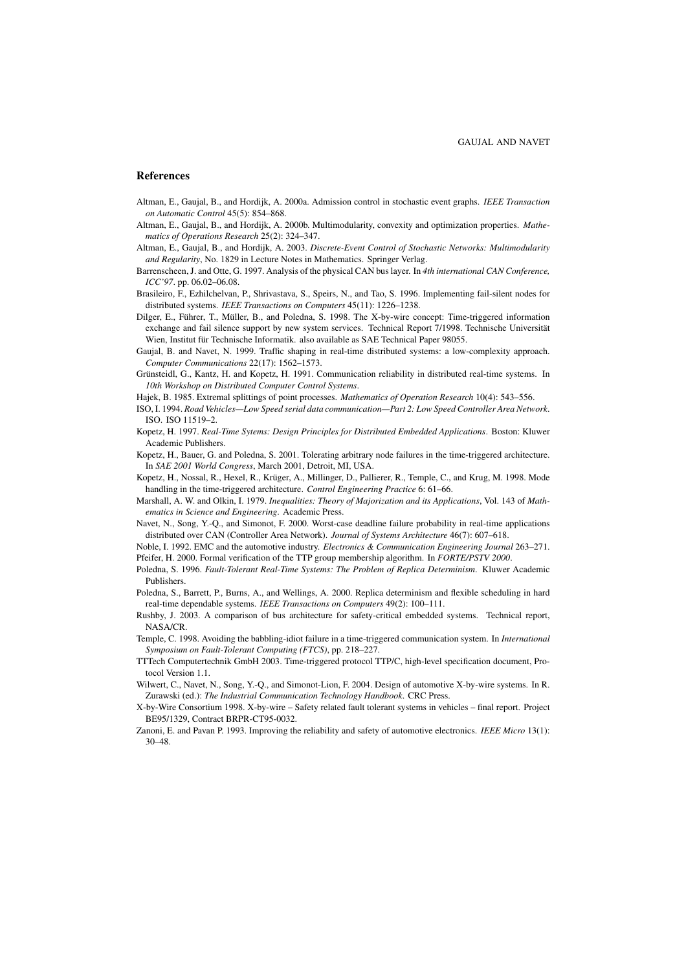#### **References**

- Altman, E., Gaujal, B., and Hordijk, A. 2000a. Admission control in stochastic event graphs. *IEEE Transaction on Automatic Control* 45(5): 854–868.
- Altman, E., Gaujal, B., and Hordijk, A. 2000b. Multimodularity, convexity and optimization properties. *Mathematics of Operations Research* 25(2): 324–347.
- Altman, E., Gaujal, B., and Hordijk, A. 2003. *Discrete-Event Control of Stochastic Networks: Multimodularity and Regularity*, No. 1829 in Lecture Notes in Mathematics. Springer Verlag.
- Barrenscheen, J. and Otte, G. 1997. Analysis of the physical CAN bus layer. In *4th international CAN Conference, ICC'97*. pp. 06.02–06.08.
- Brasileiro, F., Ezhilchelvan, P., Shrivastava, S., Speirs, N., and Tao, S. 1996. Implementing fail-silent nodes for distributed systems. *IEEE Transactions on Computers* 45(11): 1226–1238.
- Dilger, E., Führer, T., Müller, B., and Poledna, S. 1998. The X-by-wire concept: Time-triggered information exchange and fail silence support by new system services. Technical Report 7/1998. Technische Universität Wien, Institut für Technische Informatik. also available as SAE Technical Paper 98055.
- Gaujal, B. and Navet, N. 1999. Traffic shaping in real-time distributed systems: a low-complexity approach. *Computer Communications* 22(17): 1562–1573.
- Grünsteidl, G., Kantz, H. and Kopetz, H. 1991. Communication reliability in distributed real-time systems. In *10th Workshop on Distributed Computer Control Systems*.
- Hajek, B. 1985. Extremal splittings of point processes. *Mathematics of Operation Research* 10(4): 543–556.
- ISO, I. 1994. *Road Vehicles—Low Speed serial data communication—Part 2: Low Speed Controller Area Network*. ISO. ISO 11519–2.
- Kopetz, H. 1997. *Real-Time Sytems: Design Principles for Distributed Embedded Applications*. Boston: Kluwer Academic Publishers.
- Kopetz, H., Bauer, G. and Poledna, S. 2001. Tolerating arbitrary node failures in the time-triggered architecture. In *SAE 2001 World Congress*, March 2001, Detroit, MI, USA.
- Kopetz, H., Nossal, R., Hexel, R., Krüger, A., Millinger, D., Pallierer, R., Temple, C., and Krug, M. 1998. Mode handling in the time-triggered architecture. *Control Engineering Practice* 6: 61–66.
- Marshall, A. W. and Olkin, I. 1979. *Inequalities: Theory of Majorization and its Applications*, Vol. 143 of *Mathematics in Science and Engineering*. Academic Press.
- Navet, N., Song, Y.-Q., and Simonot, F. 2000. Worst-case deadline failure probability in real-time applications distributed over CAN (Controller Area Network). *Journal of Systems Architecture* 46(7): 607–618.
- Noble, I. 1992. EMC and the automotive industry. *Electronics & Communication Engineering Journal* 263–271. Pfeifer, H. 2000. Formal verification of the TTP group membership algorithm. In *FORTE/PSTV 2000*.
- Poledna, S. 1996. *Fault-Tolerant Real-Time Systems: The Problem of Replica Determinism*. Kluwer Academic Publishers.
- Poledna, S., Barrett, P., Burns, A., and Wellings, A. 2000. Replica determinism and flexible scheduling in hard real-time dependable systems. *IEEE Transactions on Computers* 49(2): 100–111.
- Rushby, J. 2003. A comparison of bus architecture for safety-critical embedded systems. Technical report, NASA/CR.
- Temple, C. 1998. Avoiding the babbling-idiot failure in a time-triggered communication system. In *International Symposium on Fault-Tolerant Computing (FTCS)*, pp. 218–227.
- TTTech Computertechnik GmbH 2003. Time-triggered protocol TTP/C, high-level specification document, Protocol Version 1.1.
- Wilwert, C., Navet, N., Song, Y.-Q., and Simonot-Lion, F. 2004. Design of automotive X-by-wire systems. In R. Zurawski (ed.): *The Industrial Communication Technology Handbook*. CRC Press.
- X-by-Wire Consortium 1998. X-by-wire Safety related fault tolerant systems in vehicles final report. Project BE95/1329, Contract BRPR-CT95-0032.
- Zanoni, E. and Pavan P. 1993. Improving the reliability and safety of automotive electronics. *IEEE Micro* 13(1): 30–48.